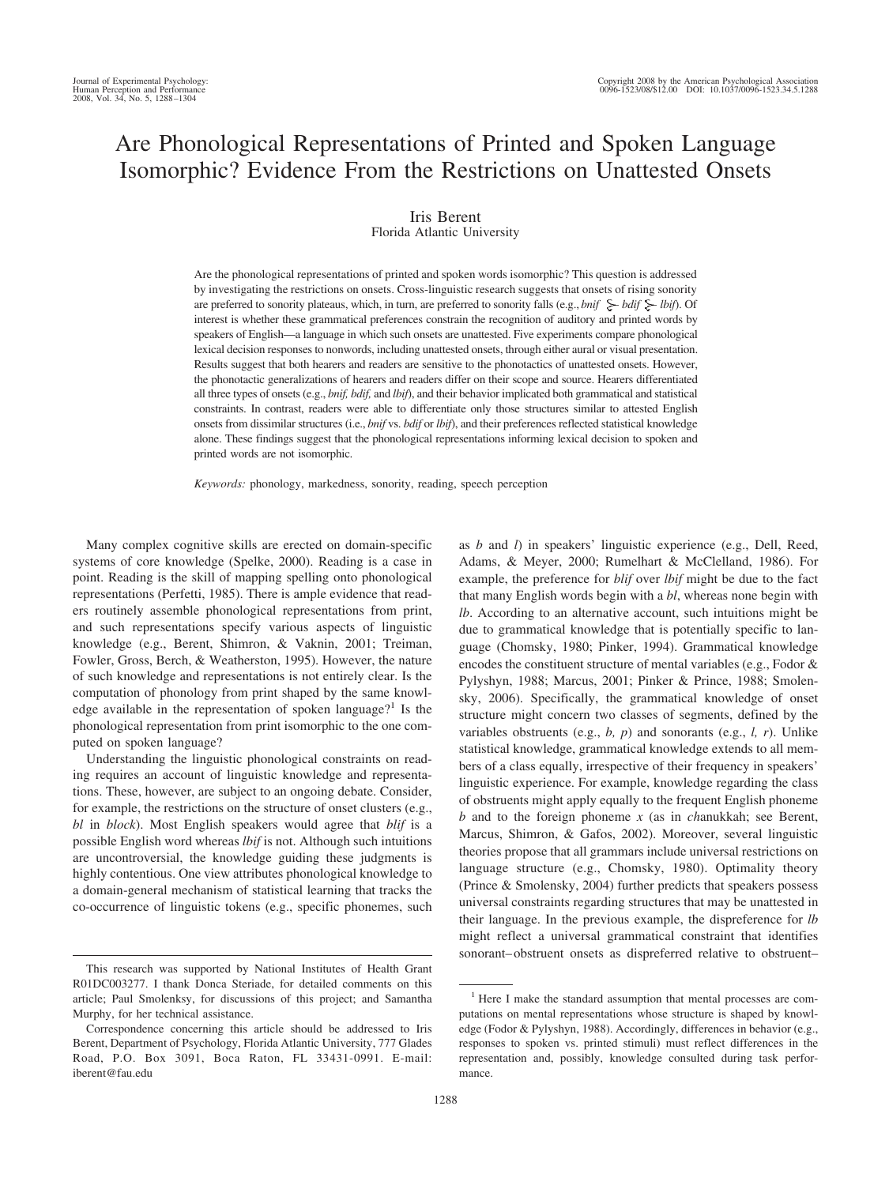# Are Phonological Representations of Printed and Spoken Language Isomorphic? Evidence From the Restrictions on Unattested Onsets

## Iris Berent

Florida Atlantic University

Are the phonological representations of printed and spoken words isomorphic? This question is addressed by investigating the restrictions on onsets. Cross-linguistic research suggests that onsets of rising sonority are preferred to sonority plateaus, which, in turn, are preferred to sonority falls (e.g., *bnif*  $\geq$  *bdif*  $\geq$  *lbif*). Of interest is whether these grammatical preferences constrain the recognition of auditory and printed words by speakers of English—a language in which such onsets are unattested. Five experiments compare phonological lexical decision responses to nonwords, including unattested onsets, through either aural or visual presentation. Results suggest that both hearers and readers are sensitive to the phonotactics of unattested onsets. However, the phonotactic generalizations of hearers and readers differ on their scope and source. Hearers differentiated all three types of onsets (e.g., *bnif, bdif,* and *lbif*), and their behavior implicated both grammatical and statistical constraints. In contrast, readers were able to differentiate only those structures similar to attested English onsets from dissimilar structures (i.e., *bnif* vs. *bdif* or *lbif*), and their preferences reflected statistical knowledge alone. These findings suggest that the phonological representations informing lexical decision to spoken and printed words are not isomorphic.

*Keywords:* phonology, markedness, sonority, reading, speech perception

Many complex cognitive skills are erected on domain-specific systems of core knowledge (Spelke, 2000). Reading is a case in point. Reading is the skill of mapping spelling onto phonological representations (Perfetti, 1985). There is ample evidence that readers routinely assemble phonological representations from print, and such representations specify various aspects of linguistic knowledge (e.g., Berent, Shimron, & Vaknin, 2001; Treiman, Fowler, Gross, Berch, & Weatherston, 1995). However, the nature of such knowledge and representations is not entirely clear. Is the computation of phonology from print shaped by the same knowledge available in the representation of spoken language?<sup>1</sup> Is the phonological representation from print isomorphic to the one computed on spoken language?

Understanding the linguistic phonological constraints on reading requires an account of linguistic knowledge and representations. These, however, are subject to an ongoing debate. Consider, for example, the restrictions on the structure of onset clusters (e.g., *bl* in *block*). Most English speakers would agree that *blif* is a possible English word whereas *lbif* is not. Although such intuitions are uncontroversial, the knowledge guiding these judgments is highly contentious. One view attributes phonological knowledge to a domain-general mechanism of statistical learning that tracks the co-occurrence of linguistic tokens (e.g., specific phonemes, such as *b* and *l*) in speakers' linguistic experience (e.g., Dell, Reed, Adams, & Meyer, 2000; Rumelhart & McClelland, 1986). For example, the preference for *blif* over *lbif* might be due to the fact that many English words begin with a *bl*, whereas none begin with *lb*. According to an alternative account, such intuitions might be due to grammatical knowledge that is potentially specific to language (Chomsky, 1980; Pinker, 1994). Grammatical knowledge encodes the constituent structure of mental variables (e.g., Fodor & Pylyshyn, 1988; Marcus, 2001; Pinker & Prince, 1988; Smolensky, 2006). Specifically, the grammatical knowledge of onset structure might concern two classes of segments, defined by the variables obstruents (e.g., *b, p*) and sonorants (e.g., *l, r*). Unlike statistical knowledge, grammatical knowledge extends to all members of a class equally, irrespective of their frequency in speakers' linguistic experience. For example, knowledge regarding the class of obstruents might apply equally to the frequent English phoneme *b* and to the foreign phoneme *x* (as in *ch*anukkah; see Berent, Marcus, Shimron, & Gafos, 2002). Moreover, several linguistic theories propose that all grammars include universal restrictions on language structure (e.g., Chomsky, 1980). Optimality theory (Prince & Smolensky, 2004) further predicts that speakers possess universal constraints regarding structures that may be unattested in their language. In the previous example, the dispreference for *lb* might reflect a universal grammatical constraint that identifies sonorant– obstruent onsets as dispreferred relative to obstruent–

This research was supported by National Institutes of Health Grant R01DC003277. I thank Donca Steriade, for detailed comments on this article; Paul Smolenksy, for discussions of this project; and Samantha Murphy, for her technical assistance.

Correspondence concerning this article should be addressed to Iris Berent, Department of Psychology, Florida Atlantic University, 777 Glades Road, P.O. Box 3091, Boca Raton, FL 33431-0991. E-mail: iberent@fau.edu

<sup>&</sup>lt;sup>1</sup> Here I make the standard assumption that mental processes are computations on mental representations whose structure is shaped by knowledge (Fodor & Pylyshyn, 1988). Accordingly, differences in behavior (e.g., responses to spoken vs. printed stimuli) must reflect differences in the representation and, possibly, knowledge consulted during task performance.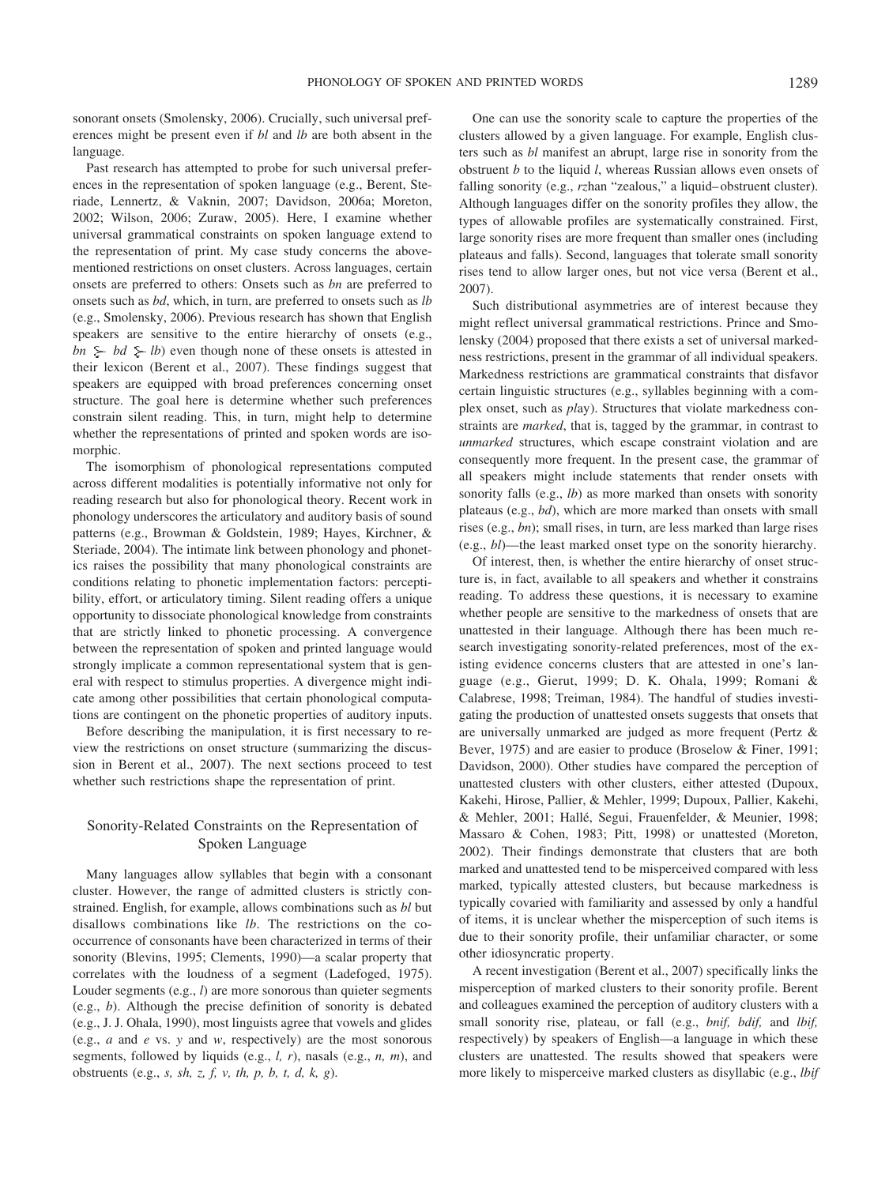sonorant onsets (Smolensky, 2006). Crucially, such universal preferences might be present even if *bl* and *lb* are both absent in the language.

Past research has attempted to probe for such universal preferences in the representation of spoken language (e.g., Berent, Steriade, Lennertz, & Vaknin, 2007; Davidson, 2006a; Moreton, 2002; Wilson, 2006; Zuraw, 2005). Here, I examine whether universal grammatical constraints on spoken language extend to the representation of print. My case study concerns the abovementioned restrictions on onset clusters. Across languages, certain onsets are preferred to others: Onsets such as *bn* are preferred to onsets such as *bd*, which, in turn, are preferred to onsets such as *lb* (e.g., Smolensky, 2006). Previous research has shown that English speakers are sensitive to the entire hierarchy of onsets (e.g.,  $bn \geq bd \geq lb$  even though none of these onsets is attested in their lexicon (Berent et al., 2007). These findings suggest that speakers are equipped with broad preferences concerning onset structure. The goal here is determine whether such preferences constrain silent reading. This, in turn, might help to determine whether the representations of printed and spoken words are isomorphic.

The isomorphism of phonological representations computed across different modalities is potentially informative not only for reading research but also for phonological theory. Recent work in phonology underscores the articulatory and auditory basis of sound patterns (e.g., Browman & Goldstein, 1989; Hayes, Kirchner, & Steriade, 2004). The intimate link between phonology and phonetics raises the possibility that many phonological constraints are conditions relating to phonetic implementation factors: perceptibility, effort, or articulatory timing. Silent reading offers a unique opportunity to dissociate phonological knowledge from constraints that are strictly linked to phonetic processing. A convergence between the representation of spoken and printed language would strongly implicate a common representational system that is general with respect to stimulus properties. A divergence might indicate among other possibilities that certain phonological computations are contingent on the phonetic properties of auditory inputs.

Before describing the manipulation, it is first necessary to review the restrictions on onset structure (summarizing the discussion in Berent et al., 2007). The next sections proceed to test whether such restrictions shape the representation of print.

# Sonority-Related Constraints on the Representation of Spoken Language

Many languages allow syllables that begin with a consonant cluster. However, the range of admitted clusters is strictly constrained. English, for example, allows combinations such as *bl* but disallows combinations like *lb*. The restrictions on the cooccurrence of consonants have been characterized in terms of their sonority (Blevins, 1995; Clements, 1990)—a scalar property that correlates with the loudness of a segment (Ladefoged, 1975). Louder segments (e.g., *l*) are more sonorous than quieter segments (e.g., *b*). Although the precise definition of sonority is debated (e.g., J. J. Ohala, 1990), most linguists agree that vowels and glides (e.g., *a* and *e* vs. *y* and *w*, respectively) are the most sonorous segments, followed by liquids (e.g., *l, r*), nasals (e.g., *n, m*), and obstruents (e.g., *s, sh, z, f, v, th, p, b, t, d, k, g*).

One can use the sonority scale to capture the properties of the clusters allowed by a given language. For example, English clusters such as *bl* manifest an abrupt, large rise in sonority from the obstruent *b* to the liquid *l*, whereas Russian allows even onsets of falling sonority (e.g., *rz*han "zealous," a liquid– obstruent cluster). Although languages differ on the sonority profiles they allow, the types of allowable profiles are systematically constrained. First, large sonority rises are more frequent than smaller ones (including plateaus and falls). Second, languages that tolerate small sonority rises tend to allow larger ones, but not vice versa (Berent et al., 2007).

Such distributional asymmetries are of interest because they might reflect universal grammatical restrictions. Prince and Smolensky (2004) proposed that there exists a set of universal markedness restrictions, present in the grammar of all individual speakers. Markedness restrictions are grammatical constraints that disfavor certain linguistic structures (e.g., syllables beginning with a complex onset, such as *pl*ay). Structures that violate markedness constraints are *marked*, that is, tagged by the grammar, in contrast to *unmarked* structures, which escape constraint violation and are consequently more frequent. In the present case, the grammar of all speakers might include statements that render onsets with sonority falls (e.g., *lb*) as more marked than onsets with sonority plateaus (e.g., *bd*), which are more marked than onsets with small rises (e.g., *bn*); small rises, in turn, are less marked than large rises (e.g., *bl*)—the least marked onset type on the sonority hierarchy.

Of interest, then, is whether the entire hierarchy of onset structure is, in fact, available to all speakers and whether it constrains reading. To address these questions, it is necessary to examine whether people are sensitive to the markedness of onsets that are unattested in their language. Although there has been much research investigating sonority-related preferences, most of the existing evidence concerns clusters that are attested in one's language (e.g., Gierut, 1999; D. K. Ohala, 1999; Romani & Calabrese, 1998; Treiman, 1984). The handful of studies investigating the production of unattested onsets suggests that onsets that are universally unmarked are judged as more frequent (Pertz & Bever, 1975) and are easier to produce (Broselow & Finer, 1991; Davidson, 2000). Other studies have compared the perception of unattested clusters with other clusters, either attested (Dupoux, Kakehi, Hirose, Pallier, & Mehler, 1999; Dupoux, Pallier, Kakehi, & Mehler, 2001; Hallé, Segui, Frauenfelder, & Meunier, 1998; Massaro & Cohen, 1983; Pitt, 1998) or unattested (Moreton, 2002). Their findings demonstrate that clusters that are both marked and unattested tend to be misperceived compared with less marked, typically attested clusters, but because markedness is typically covaried with familiarity and assessed by only a handful of items, it is unclear whether the misperception of such items is due to their sonority profile, their unfamiliar character, or some other idiosyncratic property.

A recent investigation (Berent et al., 2007) specifically links the misperception of marked clusters to their sonority profile. Berent and colleagues examined the perception of auditory clusters with a small sonority rise, plateau, or fall (e.g., *bnif, bdif,* and *lbif,* respectively) by speakers of English—a language in which these clusters are unattested. The results showed that speakers were more likely to misperceive marked clusters as disyllabic (e.g., *lbif*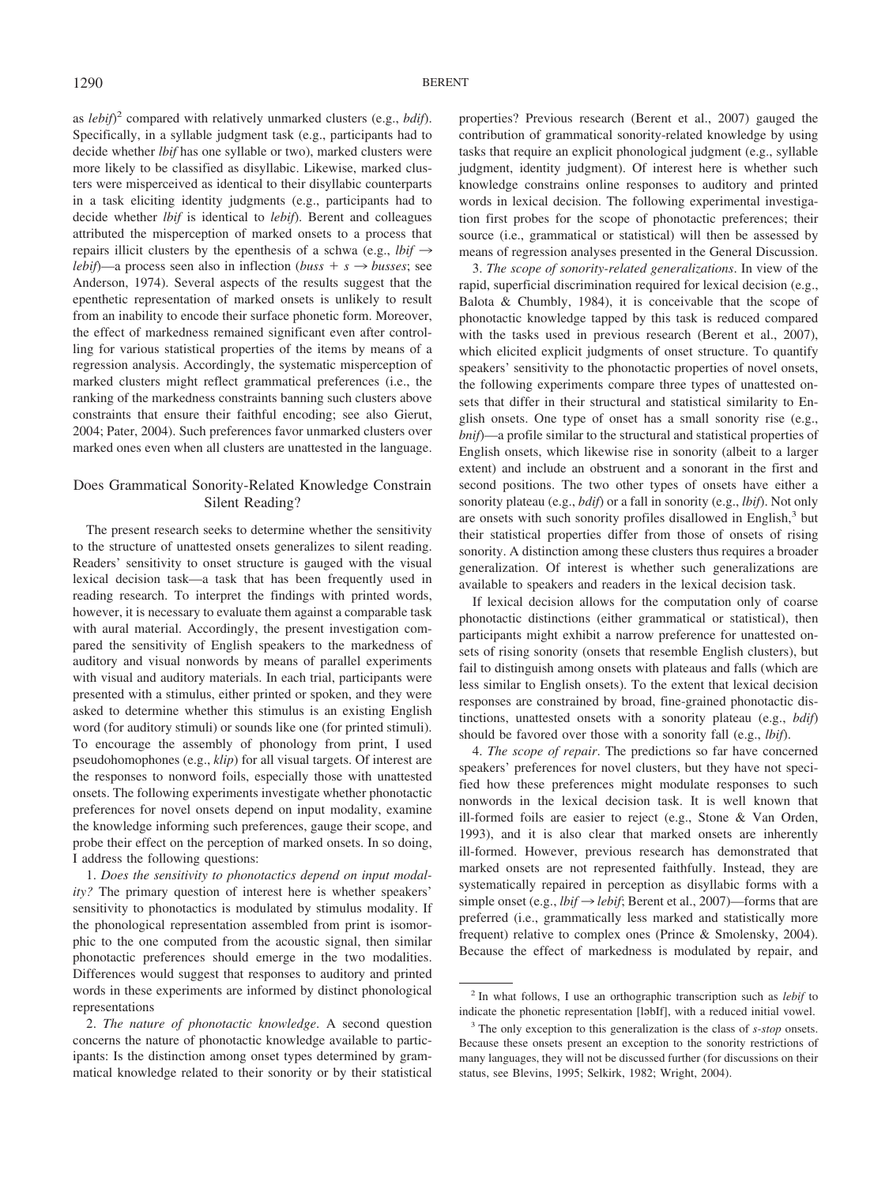as *lebif*) <sup>2</sup> compared with relatively unmarked clusters (e.g., *bdif*). Specifically, in a syllable judgment task (e.g., participants had to decide whether *lbif* has one syllable or two), marked clusters were more likely to be classified as disyllabic. Likewise, marked clusters were misperceived as identical to their disyllabic counterparts in a task eliciting identity judgments (e.g., participants had to decide whether *lbif* is identical to *lebif*). Berent and colleagues attributed the misperception of marked onsets to a process that repairs illicit clusters by the epenthesis of a schwa (e.g.,  $l \dot{b} i f \rightarrow$ *lebif*)—a process seen also in inflection (*buss* +  $s \rightarrow$  *busses*; see Anderson, 1974). Several aspects of the results suggest that the epenthetic representation of marked onsets is unlikely to result from an inability to encode their surface phonetic form. Moreover, the effect of markedness remained significant even after controlling for various statistical properties of the items by means of a regression analysis. Accordingly, the systematic misperception of marked clusters might reflect grammatical preferences (i.e., the ranking of the markedness constraints banning such clusters above constraints that ensure their faithful encoding; see also Gierut, 2004; Pater, 2004). Such preferences favor unmarked clusters over marked ones even when all clusters are unattested in the language.

# Does Grammatical Sonority-Related Knowledge Constrain Silent Reading?

The present research seeks to determine whether the sensitivity to the structure of unattested onsets generalizes to silent reading. Readers' sensitivity to onset structure is gauged with the visual lexical decision task—a task that has been frequently used in reading research. To interpret the findings with printed words, however, it is necessary to evaluate them against a comparable task with aural material. Accordingly, the present investigation compared the sensitivity of English speakers to the markedness of auditory and visual nonwords by means of parallel experiments with visual and auditory materials. In each trial, participants were presented with a stimulus, either printed or spoken, and they were asked to determine whether this stimulus is an existing English word (for auditory stimuli) or sounds like one (for printed stimuli). To encourage the assembly of phonology from print, I used pseudohomophones (e.g., *klip*) for all visual targets. Of interest are the responses to nonword foils, especially those with unattested onsets. The following experiments investigate whether phonotactic preferences for novel onsets depend on input modality, examine the knowledge informing such preferences, gauge their scope, and probe their effect on the perception of marked onsets. In so doing, I address the following questions:

1. *Does the sensitivity to phonotactics depend on input modality?* The primary question of interest here is whether speakers' sensitivity to phonotactics is modulated by stimulus modality. If the phonological representation assembled from print is isomorphic to the one computed from the acoustic signal, then similar phonotactic preferences should emerge in the two modalities. Differences would suggest that responses to auditory and printed words in these experiments are informed by distinct phonological representations

2. *The nature of phonotactic knowledge*. A second question concerns the nature of phonotactic knowledge available to participants: Is the distinction among onset types determined by grammatical knowledge related to their sonority or by their statistical properties? Previous research (Berent et al., 2007) gauged the contribution of grammatical sonority-related knowledge by using tasks that require an explicit phonological judgment (e.g., syllable judgment, identity judgment). Of interest here is whether such knowledge constrains online responses to auditory and printed words in lexical decision. The following experimental investigation first probes for the scope of phonotactic preferences; their source (i.e., grammatical or statistical) will then be assessed by means of regression analyses presented in the General Discussion.

3. *The scope of sonority-related generalizations*. In view of the rapid, superficial discrimination required for lexical decision (e.g., Balota & Chumbly, 1984), it is conceivable that the scope of phonotactic knowledge tapped by this task is reduced compared with the tasks used in previous research (Berent et al., 2007), which elicited explicit judgments of onset structure. To quantify speakers' sensitivity to the phonotactic properties of novel onsets, the following experiments compare three types of unattested onsets that differ in their structural and statistical similarity to English onsets. One type of onset has a small sonority rise (e.g., *bnif*)—a profile similar to the structural and statistical properties of English onsets, which likewise rise in sonority (albeit to a larger extent) and include an obstruent and a sonorant in the first and second positions. The two other types of onsets have either a sonority plateau (e.g., *bdif*) or a fall in sonority (e.g., *lbif*). Not only are onsets with such sonority profiles disallowed in English,<sup>3</sup> but their statistical properties differ from those of onsets of rising sonority. A distinction among these clusters thus requires a broader generalization. Of interest is whether such generalizations are available to speakers and readers in the lexical decision task.

If lexical decision allows for the computation only of coarse phonotactic distinctions (either grammatical or statistical), then participants might exhibit a narrow preference for unattested onsets of rising sonority (onsets that resemble English clusters), but fail to distinguish among onsets with plateaus and falls (which are less similar to English onsets). To the extent that lexical decision responses are constrained by broad, fine-grained phonotactic distinctions, unattested onsets with a sonority plateau (e.g., *bdif*) should be favored over those with a sonority fall (e.g., *lbif*).

4. *The scope of repair*. The predictions so far have concerned speakers' preferences for novel clusters, but they have not specified how these preferences might modulate responses to such nonwords in the lexical decision task. It is well known that ill-formed foils are easier to reject (e.g., Stone & Van Orden, 1993), and it is also clear that marked onsets are inherently ill-formed. However, previous research has demonstrated that marked onsets are not represented faithfully. Instead, they are systematically repaired in perception as disyllabic forms with a simple onset (e.g.,  $lbif \rightarrow lebif$ ; Berent et al., 2007)—forms that are preferred (i.e., grammatically less marked and statistically more frequent) relative to complex ones (Prince & Smolensky, 2004). Because the effect of markedness is modulated by repair, and

<sup>2</sup> In what follows, I use an orthographic transcription such as *lebif* to indicate the phonetic representation [ləbIf], with a reduced initial vowel.

<sup>3</sup> The only exception to this generalization is the class of *s-stop* onsets. Because these onsets present an exception to the sonority restrictions of many languages, they will not be discussed further (for discussions on their status, see Blevins, 1995; Selkirk, 1982; Wright, 2004).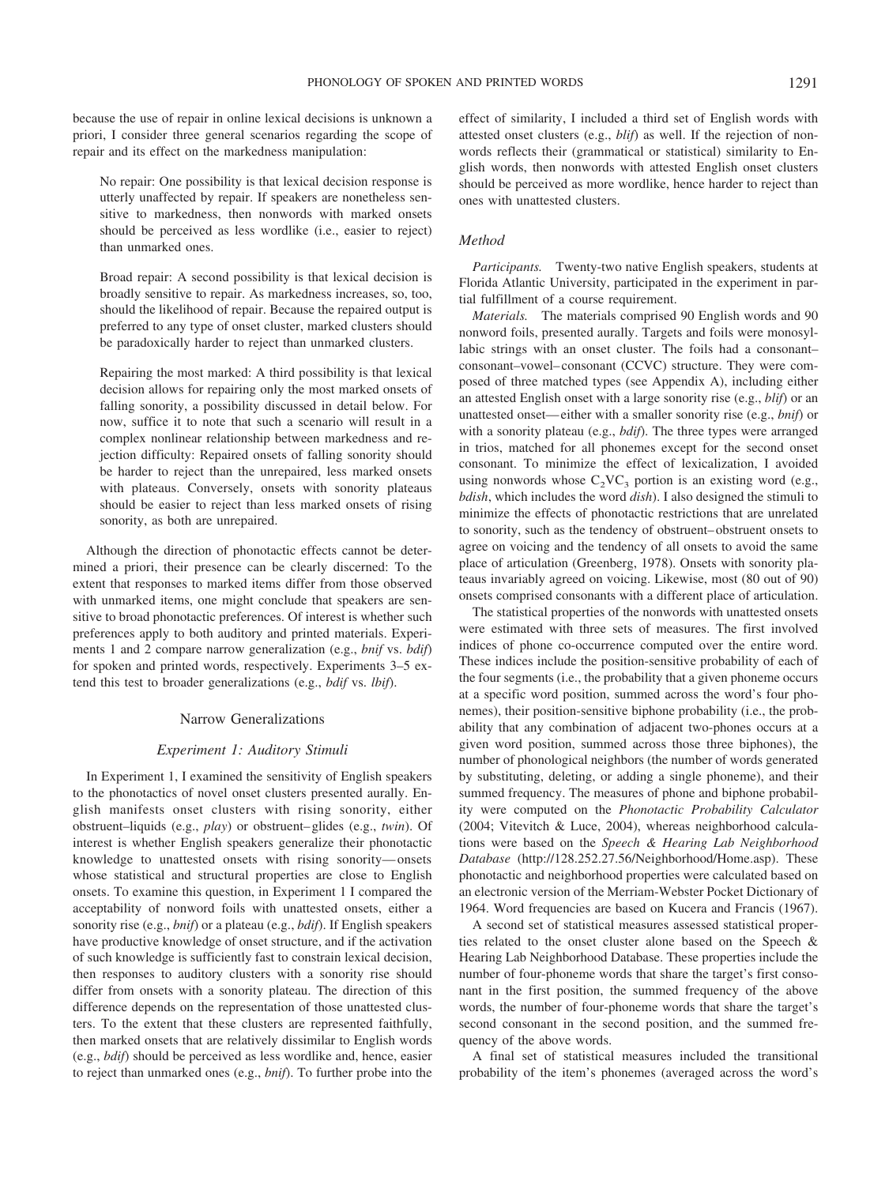because the use of repair in online lexical decisions is unknown a priori, I consider three general scenarios regarding the scope of repair and its effect on the markedness manipulation:

No repair: One possibility is that lexical decision response is utterly unaffected by repair. If speakers are nonetheless sensitive to markedness, then nonwords with marked onsets should be perceived as less wordlike (i.e., easier to reject) than unmarked ones.

Broad repair: A second possibility is that lexical decision is broadly sensitive to repair. As markedness increases, so, too, should the likelihood of repair. Because the repaired output is preferred to any type of onset cluster, marked clusters should be paradoxically harder to reject than unmarked clusters.

Repairing the most marked: A third possibility is that lexical decision allows for repairing only the most marked onsets of falling sonority, a possibility discussed in detail below. For now, suffice it to note that such a scenario will result in a complex nonlinear relationship between markedness and rejection difficulty: Repaired onsets of falling sonority should be harder to reject than the unrepaired, less marked onsets with plateaus. Conversely, onsets with sonority plateaus should be easier to reject than less marked onsets of rising sonority, as both are unrepaired.

Although the direction of phonotactic effects cannot be determined a priori, their presence can be clearly discerned: To the extent that responses to marked items differ from those observed with unmarked items, one might conclude that speakers are sensitive to broad phonotactic preferences. Of interest is whether such preferences apply to both auditory and printed materials. Experiments 1 and 2 compare narrow generalization (e.g., *bnif* vs. *bdif*) for spoken and printed words, respectively. Experiments 3–5 extend this test to broader generalizations (e.g., *bdif* vs. *lbif*).

#### Narrow Generalizations

#### *Experiment 1: Auditory Stimuli*

In Experiment 1, I examined the sensitivity of English speakers to the phonotactics of novel onset clusters presented aurally. English manifests onset clusters with rising sonority, either obstruent–liquids (e.g., *play*) or obstruent– glides (e.g., *twin*). Of interest is whether English speakers generalize their phonotactic knowledge to unattested onsets with rising sonority— onsets whose statistical and structural properties are close to English onsets. To examine this question, in Experiment 1 I compared the acceptability of nonword foils with unattested onsets, either a sonority rise (e.g., *bnif*) or a plateau (e.g., *bdif*). If English speakers have productive knowledge of onset structure, and if the activation of such knowledge is sufficiently fast to constrain lexical decision, then responses to auditory clusters with a sonority rise should differ from onsets with a sonority plateau. The direction of this difference depends on the representation of those unattested clusters. To the extent that these clusters are represented faithfully, then marked onsets that are relatively dissimilar to English words (e.g., *bdif*) should be perceived as less wordlike and, hence, easier to reject than unmarked ones (e.g., *bnif*). To further probe into the

effect of similarity, I included a third set of English words with attested onset clusters (e.g., *blif*) as well. If the rejection of nonwords reflects their (grammatical or statistical) similarity to English words, then nonwords with attested English onset clusters should be perceived as more wordlike, hence harder to reject than ones with unattested clusters.

## *Method*

*Participants.* Twenty-two native English speakers, students at Florida Atlantic University, participated in the experiment in partial fulfillment of a course requirement.

*Materials.* The materials comprised 90 English words and 90 nonword foils, presented aurally. Targets and foils were monosyllabic strings with an onset cluster. The foils had a consonant– consonant–vowel– consonant (CCVC) structure. They were composed of three matched types (see Appendix A), including either an attested English onset with a large sonority rise (e.g., *blif*) or an unattested onset— either with a smaller sonority rise (e.g., *bnif*) or with a sonority plateau (e.g., *bdif*). The three types were arranged in trios, matched for all phonemes except for the second onset consonant. To minimize the effect of lexicalization, I avoided using nonwords whose  $C_2VC_3$  portion is an existing word (e.g., *bdish*, which includes the word *dish*). I also designed the stimuli to minimize the effects of phonotactic restrictions that are unrelated to sonority, such as the tendency of obstruent– obstruent onsets to agree on voicing and the tendency of all onsets to avoid the same place of articulation (Greenberg, 1978). Onsets with sonority plateaus invariably agreed on voicing. Likewise, most (80 out of 90) onsets comprised consonants with a different place of articulation.

The statistical properties of the nonwords with unattested onsets were estimated with three sets of measures. The first involved indices of phone co-occurrence computed over the entire word. These indices include the position-sensitive probability of each of the four segments (i.e., the probability that a given phoneme occurs at a specific word position, summed across the word's four phonemes), their position-sensitive biphone probability (i.e., the probability that any combination of adjacent two-phones occurs at a given word position, summed across those three biphones), the number of phonological neighbors (the number of words generated by substituting, deleting, or adding a single phoneme), and their summed frequency. The measures of phone and biphone probability were computed on the *Phonotactic Probability Calculator* (2004; Vitevitch & Luce, 2004), whereas neighborhood calculations were based on the *Speech & Hearing Lab Neighborhood Database* (http://128.252.27.56/Neighborhood/Home.asp). These phonotactic and neighborhood properties were calculated based on an electronic version of the Merriam-Webster Pocket Dictionary of 1964. Word frequencies are based on Kucera and Francis (1967).

A second set of statistical measures assessed statistical properties related to the onset cluster alone based on the Speech & Hearing Lab Neighborhood Database. These properties include the number of four-phoneme words that share the target's first consonant in the first position, the summed frequency of the above words, the number of four-phoneme words that share the target's second consonant in the second position, and the summed frequency of the above words.

A final set of statistical measures included the transitional probability of the item's phonemes (averaged across the word's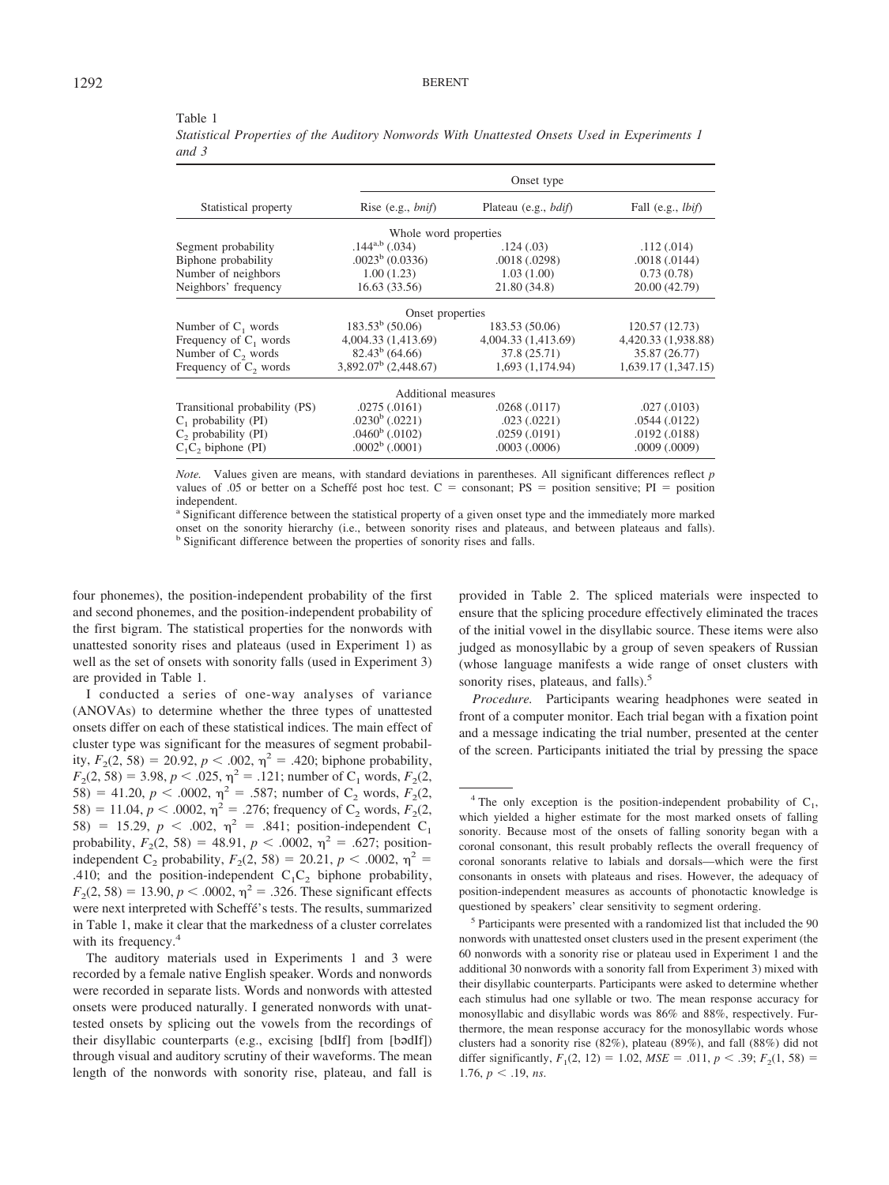|                                |                         | Onset type                   |                     |
|--------------------------------|-------------------------|------------------------------|---------------------|
| Statistical property           | Rise $(e.g., bnif)$     | Plateau (e.g., <i>bdif</i> ) | Fall $(e.g., lbif)$ |
|                                | Whole word properties   |                              |                     |
| Segment probability            | $.144^{a,b}$ (.034)     | .124(.03)                    | .112(.014)          |
| Biphone probability            | $.0023^b$ (0.0336)      | .0018(.0298)                 | .0018(.0144)        |
| Number of neighbors            | 1.00(1.23)              | 1.03(1.00)                   | 0.73(0.78)          |
| Neighbors' frequency           | 16.63(33.56)            | 21.80 (34.8)                 | 20.00 (42.79)       |
|                                | Onset properties        |                              |                     |
| Number of $C_1$ words          | $183.53^b$ (50.06)      | 183.53 (50.06)               | 120.57 (12.73)      |
| Frequency of $C_1$ words       | 4,004.33 (1,413.69)     | 4,004.33 (1,413.69)          | 4,420.33 (1,938.88) |
| Number of C <sub>2</sub> words | $82.43^b$ (64.66)       | 37.8(25.71)                  | 35.87 (26.77)       |
| Frequency of $C_2$ words       | $3,892.07^b$ (2,448.67) | 1,693 (1,174.94)             | 1,639.17(1,347.15)  |
|                                | Additional measures     |                              |                     |
| Transitional probability (PS)  | .0275(.0161)            | .0268(.0117)                 | .027(.0103)         |
| C, probability (PI)            | $.0230b$ (.0221)        | .023(.0221)                  | .0544(.0122)        |
| $C2$ probability (PI)          | $.0460b$ (.0102)        | .0259(.0191)                 | .0192(.0188)        |
| $C_1C_2$ biphone (PI)          | $.0002b$ (.0001)        | .0003(.0006)                 | $.0009$ $(.0009)$   |

#### Table 1

*Statistical Properties of the Auditory Nonwords With Unattested Onsets Used in Experiments 1 and 3*

*Note.* Values given are means, with standard deviations in parentheses. All significant differences reflect *p* values of .05 or better on a Scheffe´ post hoc test.  $C =$  consonant; PS = position sensitive; PI = position independent.

<sup>a</sup> Significant difference between the statistical property of a given onset type and the immediately more marked onset on the sonority hierarchy (i.e., between sonority rises and plateaus, and between plateaus and falls). <sup>b</sup> Significant difference between the properties of sonority rises and falls.

four phonemes), the position-independent probability of the first and second phonemes, and the position-independent probability of the first bigram. The statistical properties for the nonwords with unattested sonority rises and plateaus (used in Experiment 1) as well as the set of onsets with sonority falls (used in Experiment 3) are provided in Table 1.

I conducted a series of one-way analyses of variance (ANOVAs) to determine whether the three types of unattested onsets differ on each of these statistical indices. The main effect of cluster type was significant for the measures of segment probability,  $F_2(2, 58) = 20.92$ ,  $p < .002$ ,  $\eta^2 = .420$ ; biphone probability,  $F_2(2, 58) = 3.98, p < .025, \eta^2 = .121$ ; number of C<sub>1</sub> words,  $F_2(2, 58) = 3.98, p < .025, \eta^2 = .121$ ; 58) = 41.20,  $p < .0002$ ,  $\eta^2 = .587$ ; number of C<sub>2</sub> words,  $F_2(2, \theta)$ 58) = 11.04,  $p < .0002$ ,  $\eta^2 = .276$ ; frequency of C<sub>2</sub> words,  $F_2(2, \eta^2)$ 58) = 15.29,  $p < .002$ ,  $\eta^2 = .841$ ; position-independent C<sub>1</sub> probability,  $F_2(2, 58) = 48.91$ ,  $p < .0002$ ,  $\eta^2 = .627$ ; positionindependent C<sub>2</sub> probability,  $F_2(2, 58) = 20.21, p < .0002, \eta^2$ .410; and the position-independent  $C_1C_2$  biphone probability,  $F_2(2, 58) = 13.90, p < .0002, \eta^2 = .326$ . These significant effects were next interpreted with Scheffe´'s tests. The results, summarized in Table 1, make it clear that the markedness of a cluster correlates with its frequency.<sup>4</sup>

The auditory materials used in Experiments 1 and 3 were recorded by a female native English speaker. Words and nonwords were recorded in separate lists. Words and nonwords with attested onsets were produced naturally. I generated nonwords with unattested onsets by splicing out the vowels from the recordings of their disyllabic counterparts (e.g., excising [bdIf] from [bədIf]) through visual and auditory scrutiny of their waveforms. The mean length of the nonwords with sonority rise, plateau, and fall is provided in Table 2. The spliced materials were inspected to ensure that the splicing procedure effectively eliminated the traces of the initial vowel in the disyllabic source. These items were also judged as monosyllabic by a group of seven speakers of Russian (whose language manifests a wide range of onset clusters with sonority rises, plateaus, and falls).<sup>5</sup>

*Procedure.* Participants wearing headphones were seated in front of a computer monitor. Each trial began with a fixation point and a message indicating the trial number, presented at the center of the screen. Participants initiated the trial by pressing the space

<sup>&</sup>lt;sup>4</sup> The only exception is the position-independent probability of  $C_1$ , which yielded a higher estimate for the most marked onsets of falling sonority. Because most of the onsets of falling sonority began with a coronal consonant, this result probably reflects the overall frequency of coronal sonorants relative to labials and dorsals—which were the first consonants in onsets with plateaus and rises. However, the adequacy of position-independent measures as accounts of phonotactic knowledge is questioned by speakers' clear sensitivity to segment ordering.

<sup>5</sup> Participants were presented with a randomized list that included the 90 nonwords with unattested onset clusters used in the present experiment (the 60 nonwords with a sonority rise or plateau used in Experiment 1 and the additional 30 nonwords with a sonority fall from Experiment 3) mixed with their disyllabic counterparts. Participants were asked to determine whether each stimulus had one syllable or two. The mean response accuracy for monosyllabic and disyllabic words was 86% and 88%, respectively. Furthermore, the mean response accuracy for the monosyllabic words whose clusters had a sonority rise (82%), plateau (89%), and fall (88%) did not differ significantly,  $F_1(2, 12) = 1.02$ ,  $MSE = .011$ ,  $p < .39$ ;  $F_2(1, 58) =$ 1.76,  $p < .19$ , *ns*.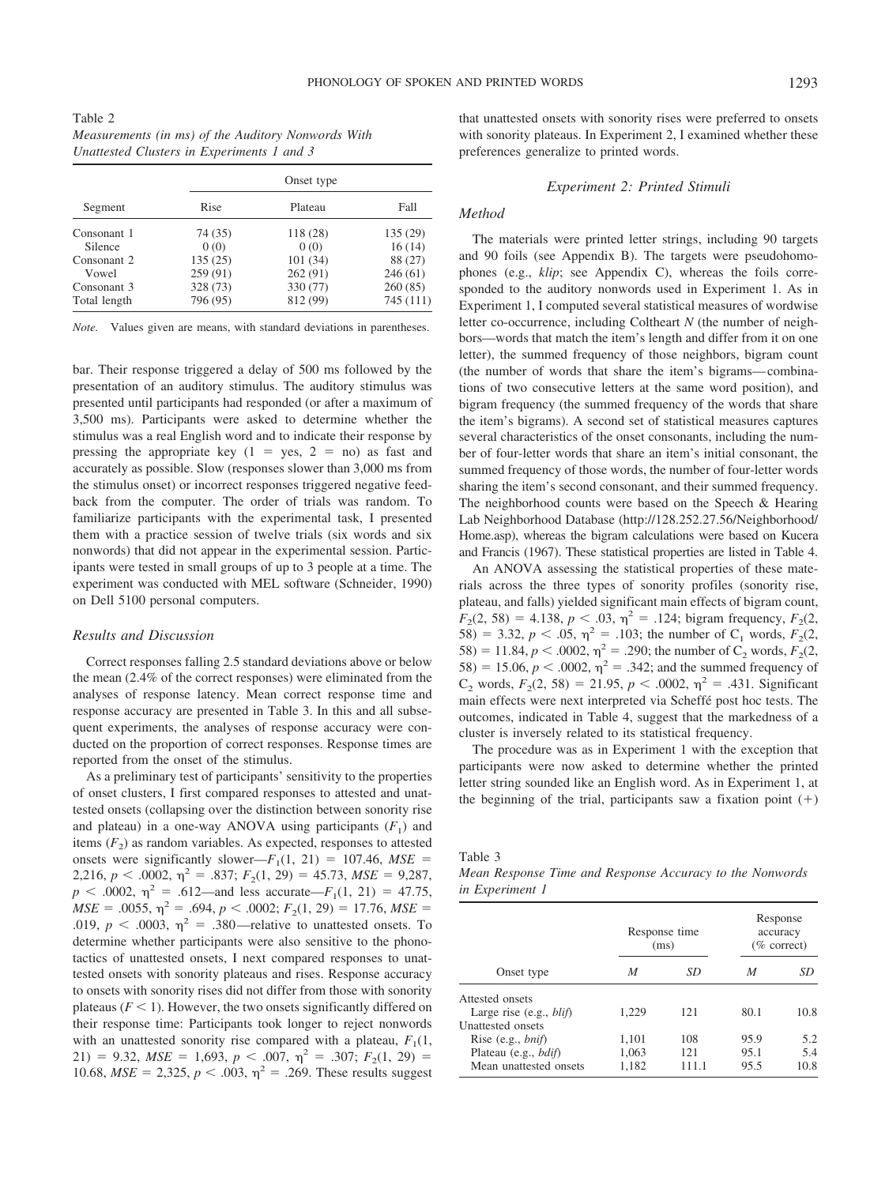|                                    |          | Onset type |           |  |  |
|------------------------------------|----------|------------|-----------|--|--|
| Segment<br><b>Silence</b><br>Vowel | Rise     | Plateau    | Fall      |  |  |
| Consonant 1                        | 74 (35)  | 118 (28)   | 135 (29)  |  |  |
|                                    | 0(0)     | 0(0)       | 16(14)    |  |  |
| Consonant 2                        | 135(25)  | 101(34)    | 88 (27)   |  |  |
|                                    | 259 (91) | 262 (91)   | 246(61)   |  |  |
| Consonant 3                        | 328 (73) | 330 (77)   | 260(85)   |  |  |
| Total length                       | 796 (95) | 812 (99)   | 745 (111) |  |  |

*Note.* Values given are means, with standard deviations in parentheses.

bar. Their response triggered a delay of 500 ms followed by the presentation of an auditory stimulus. The auditory stimulus was presented until participants had responded (or after a maximum of 3,500 ms). Participants were asked to determine whether the stimulus was a real English word and to indicate their response by pressing the appropriate key  $(1 = yes, 2 = no)$  as fast and accurately as possible. Slow (responses slower than 3,000 ms from the stimulus onset) or incorrect responses triggered negative feedback from the computer. The order of trials was random. To familiarize participants with the experimental task, I presented them with a practice session of twelve trials (six words and six nonwords) that did not appear in the experimental session. Participants were tested in small groups of up to 3 people at a time. The experiment was conducted with MEL software (Schneider, 1990) on Dell 5100 personal computers.

## *Results and Discussion*

Correct responses falling 2.5 standard deviations above or below the mean (2.4% of the correct responses) were eliminated from the analyses of response latency. Mean correct response time and response accuracy are presented in Table 3. In this and all subsequent experiments, the analyses of response accuracy were conducted on the proportion of correct responses. Response times are reported from the onset of the stimulus.

As a preliminary test of participants' sensitivity to the properties of onset clusters, I first compared responses to attested and unattested onsets (collapsing over the distinction between sonority rise and plateau) in a one-way ANOVA using participants  $(F_1)$  and items  $(F_2)$  as random variables. As expected, responses to attested onsets were significantly slower— $F_1(1, 21) = 107.46$ ,  $MSE =$ 2,216,  $p < .0002$ ,  $\eta^2 = .837$ ;  $F_2(1, 29) = 45.73$ ,  $MSE = 9,287$ ,  $p < .0002$ ,  $\eta^2 = .612$ —and less accurate—*F*<sub>1</sub>(1, 21) = 47.75,  $MSE = .0055$ ,  $\eta^2 = .694$ ,  $p < .0002$ ;  $F_2(1, 29) = 17.76$ ,  $MSE =$ .019,  $p < .0003$ ,  $\eta^2 = .380$ —relative to unattested onsets. To determine whether participants were also sensitive to the phonotactics of unattested onsets, I next compared responses to unattested onsets with sonority plateaus and rises. Response accuracy to onsets with sonority rises did not differ from those with sonority plateaus  $(F \le 1)$ . However, the two onsets significantly differed on their response time: Participants took longer to reject nonwords with an unattested sonority rise compared with a plateau,  $F_1(1, 1)$ 21) = 9.32,  $MSE = 1,693$ ,  $p < .007$ ,  $\eta^2 = .307$ ;  $F_2(1, 29) =$ 10.68,  $MSE = 2,325$ ,  $p < .003$ ,  $\eta^2 = .269$ . These results suggest that unattested onsets with sonority rises were preferred to onsets with sonority plateaus. In Experiment 2, I examined whether these preferences generalize to printed words.

## *Experiment 2: Printed Stimuli*

#### *Method*

The materials were printed letter strings, including 90 targets and 90 foils (see Appendix B). The targets were pseudohomophones (e.g., *klip*; see Appendix C), whereas the foils corresponded to the auditory nonwords used in Experiment 1. As in Experiment 1, I computed several statistical measures of wordwise letter co-occurrence, including Coltheart *N* (the number of neighbors—words that match the item's length and differ from it on one letter), the summed frequency of those neighbors, bigram count (the number of words that share the item's bigrams— combinations of two consecutive letters at the same word position), and bigram frequency (the summed frequency of the words that share the item's bigrams). A second set of statistical measures captures several characteristics of the onset consonants, including the number of four-letter words that share an item's initial consonant, the summed frequency of those words, the number of four-letter words sharing the item's second consonant, and their summed frequency. The neighborhood counts were based on the Speech & Hearing Lab Neighborhood Database (http://128.252.27.56/Neighborhood/ Home.asp), whereas the bigram calculations were based on Kucera and Francis (1967). These statistical properties are listed in Table 4.

An ANOVA assessing the statistical properties of these materials across the three types of sonority profiles (sonority rise, plateau, and falls) yielded significant main effects of bigram count,  $F_2(2, 58) = 4.138, p < .03, \eta^2 = .124$ ; bigram frequency,  $F_2(2, 58) = .03$ 58) = 3.32,  $p < .05$ ,  $\eta^2 = .103$ ; the number of C<sub>1</sub> words,  $F_2(2, \theta)$ 58) = 11.84,  $p < .0002$ ,  $\eta^2 = .290$ ; the number of C<sub>2</sub> words,  $F_2(2,$ 58) = 15.06,  $p < .0002$ ,  $\eta^2 = .342$ ; and the summed frequency of  $C_2$  words,  $F_2(2, 58) = 21.95$ ,  $p < .0002$ ,  $\eta^2 = .431$ . Significant main effects were next interpreted via Scheffé post hoc tests. The outcomes, indicated in Table 4, suggest that the markedness of a cluster is inversely related to its statistical frequency.

The procedure was as in Experiment 1 with the exception that participants were now asked to determine whether the printed letter string sounded like an English word. As in Experiment 1, at the beginning of the trial, participants saw a fixation point  $(+)$ 

*Mean Response Time and Response Accuracy to the Nonwords in Experiment 1*

|                                  |       | Response time<br>(ms) | Response<br>accuracy<br>$(\%$ correct) |      |  |
|----------------------------------|-------|-----------------------|----------------------------------------|------|--|
| Onset type                       | M     | SD                    | M                                      | SD   |  |
| Attested onsets                  |       |                       |                                        |      |  |
| Large rise $(e.g., \text{blif})$ | 1,229 | 121                   | 80.1                                   | 10.8 |  |
| Unattested onsets                |       |                       |                                        |      |  |
| Rise $(e.g., bnif)$              | 1,101 | 108                   | 95.9                                   | 5.2  |  |
| Plateau (e.g., <i>bdif</i> )     | 1,063 | 121                   | 95.1                                   | 5.4  |  |
| Mean unattested onsets           | 1,182 | 111.1                 | 95.5                                   | 10.8 |  |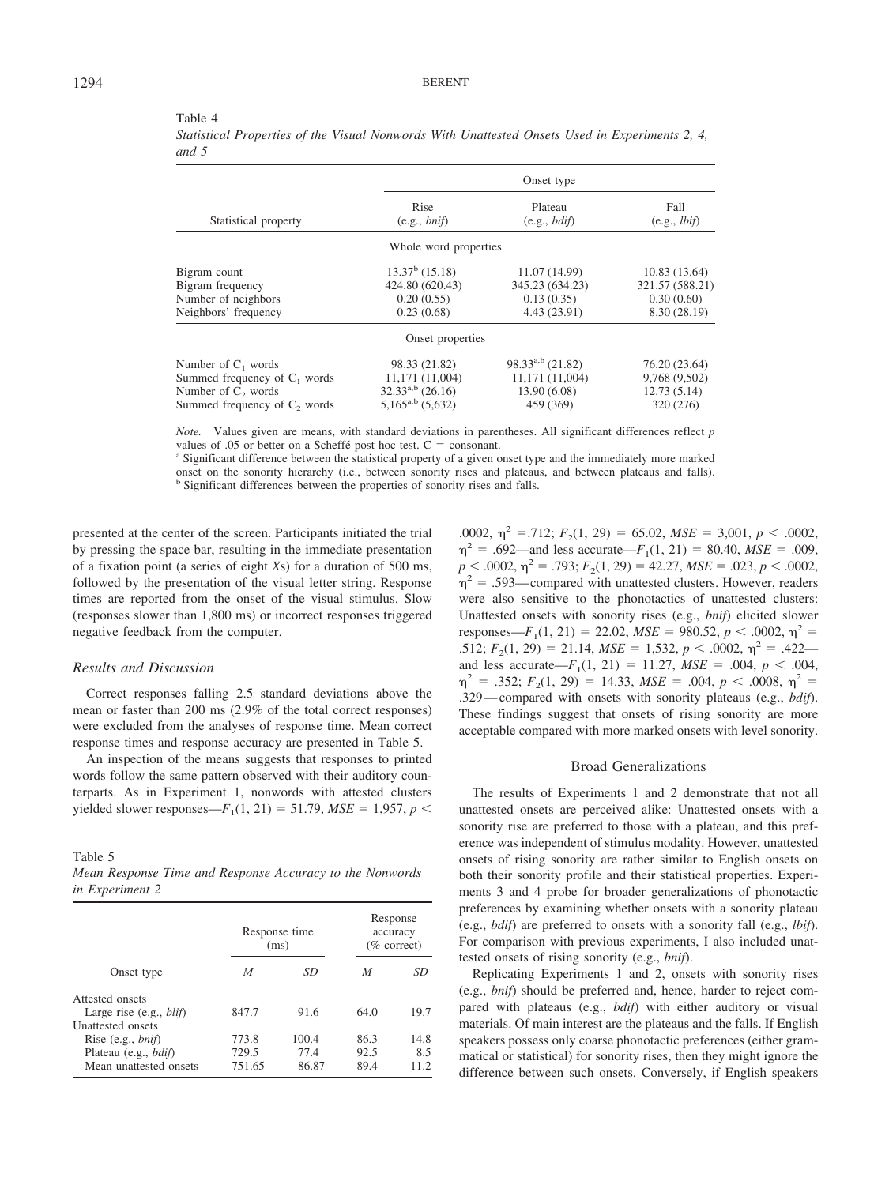|                                          |                              | Onset type             |                              |
|------------------------------------------|------------------------------|------------------------|------------------------------|
| Statistical property                     | Rise<br>(e.g., <i>bnif</i> ) | Plateau<br>(e.g., bdi) | Fall<br>(e.g., <i>lbif</i> ) |
|                                          | Whole word properties        |                        |                              |
| Bigram count                             | $13.37b$ (15.18)             | 11.07 (14.99)          | 10.83(13.64)                 |
| Bigram frequency                         | 424.80 (620.43)              | 345.23 (634.23)        | 321.57 (588.21)              |
| Number of neighbors                      | 0.20(0.55)                   | 0.13(0.35)             | 0.30(0.60)                   |
| Neighbors' frequency                     | 0.23(0.68)                   | 4.43 (23.91)           | 8.30 (28.19)                 |
|                                          | Onset properties             |                        |                              |
| Number of $C_1$ words                    | 98.33 (21.82)                | $98.33^{a,b}$ (21.82)  | 76.20 (23.64)                |
| Summed frequency of $C_1$ words          | 11,171 (11,004)              | 11,171 (11,004)        | 9,768 (9,502)                |
| Number of C <sub>2</sub> words           | $32.33^{a,b}$ (26.16)        | 13.90 (6.08)           | 12.73(5.14)                  |
| Summed frequency of C <sub>2</sub> words | $5,165^{a,b}$ (5,632)        | 459 (369)              | 320 (276)                    |
|                                          |                              |                        |                              |

Table 4 *Statistical Properties of the Visual Nonwords With Unattested Onsets Used in Experiments 2, 4, and 5*

*Note.* Values given are means, with standard deviations in parentheses. All significant differences reflect *p* values of .05 or better on a Scheffe<sup> $i$ </sup> post hoc test.  $C =$  consonant.<br><sup>a</sup> Significant difference between the statistical property of a given onset type and the immediately more marked

onset on the sonority hierarchy (i.e., between sonority rises and plateaus, and between plateaus and falls). <sup>b</sup> Significant differences between the properties of sonority rises and falls.

presented at the center of the screen. Participants initiated the trial by pressing the space bar, resulting in the immediate presentation of a fixation point (a series of eight *X*s) for a duration of 500 ms, followed by the presentation of the visual letter string. Response times are reported from the onset of the visual stimulus. Slow (responses slower than 1,800 ms) or incorrect responses triggered negative feedback from the computer.

## *Results and Discussion*

Correct responses falling 2.5 standard deviations above the mean or faster than 200 ms (2.9% of the total correct responses) were excluded from the analyses of response time. Mean correct response times and response accuracy are presented in Table 5.

An inspection of the means suggests that responses to printed words follow the same pattern observed with their auditory counterparts. As in Experiment 1, nonwords with attested clusters yielded slower responses— $F_1(1, 21) = 51.79$ ,  $MSE = 1,957$ ,  $p <$ 

Table 5

*Mean Response Time and Response Accuracy to the Nonwords in Experiment 2*

|                                                     |        | Response time<br>(ms) | accuracy | Response<br>$(\%$ correct) |
|-----------------------------------------------------|--------|-----------------------|----------|----------------------------|
| Onset type                                          | M      | SD                    | M        | SD                         |
| Attested onsets<br>Large rise $(e.g., \text{blif})$ | 847.7  | 91.6                  | 64.0     | 19.7                       |
| <b>Unattested onsets</b>                            |        |                       |          |                            |
| Rise (e.g., $bnif$ )                                | 773.8  | 100.4                 | 86.3     | 14.8                       |
| Plateau (e.g., <i>bdif</i> )                        | 729.5  | 77.4                  | 92.5     | 8.5                        |
| Mean unattested onsets                              | 751.65 | 86.87                 | 89.4     | 11.2                       |

.0002,  $\eta^2$  = .712;  $F_2(1, 29) = 65.02$ ,  $MSE = 3,001$ ,  $p < .0002$ ,  $\eta^2$  = .692—and less accurate—*F*<sub>1</sub>(1, 21) = 80.40, *MSE* = .009,  $p < .0002$ ,  $\eta^2 = .793$ ;  $F_2(1, 29) = 42.27$ ,  $MSE = .023$ ,  $p < .0002$ ,  $\eta^2$  = .593—compared with unattested clusters. However, readers were also sensitive to the phonotactics of unattested clusters: Unattested onsets with sonority rises (e.g., *bnif*) elicited slower responses—*F*<sub>1</sub>(1, 21) = 22.02, *MSE* = 980.52, *p* < .0002,  $\eta^2$  = .512;  $F_2(1, 29) = 21.14$ ,  $MSE = 1,532$ ,  $p < .0002$ ,  $\eta^2 = .422$  and less accurate— $F_1(1, 21) = 11.27$ ,  $MSE = .004$ ,  $p < .004$ ,  $\eta^2$  = .352;  $F_2(1, 29)$  = 14.33, MSE = .004,  $p < .0008$ ,  $\eta^2$  = .329— compared with onsets with sonority plateaus (e.g., *bdif*). These findings suggest that onsets of rising sonority are more acceptable compared with more marked onsets with level sonority.

## Broad Generalizations

The results of Experiments 1 and 2 demonstrate that not all unattested onsets are perceived alike: Unattested onsets with a sonority rise are preferred to those with a plateau, and this preference was independent of stimulus modality. However, unattested onsets of rising sonority are rather similar to English onsets on both their sonority profile and their statistical properties. Experiments 3 and 4 probe for broader generalizations of phonotactic preferences by examining whether onsets with a sonority plateau (e.g., *bdif*) are preferred to onsets with a sonority fall (e.g., *lbif*). For comparison with previous experiments, I also included unattested onsets of rising sonority (e.g., *bnif*).

Replicating Experiments 1 and 2, onsets with sonority rises (e.g., *bnif*) should be preferred and, hence, harder to reject compared with plateaus (e.g., *bdif*) with either auditory or visual materials. Of main interest are the plateaus and the falls. If English speakers possess only coarse phonotactic preferences (either grammatical or statistical) for sonority rises, then they might ignore the difference between such onsets. Conversely, if English speakers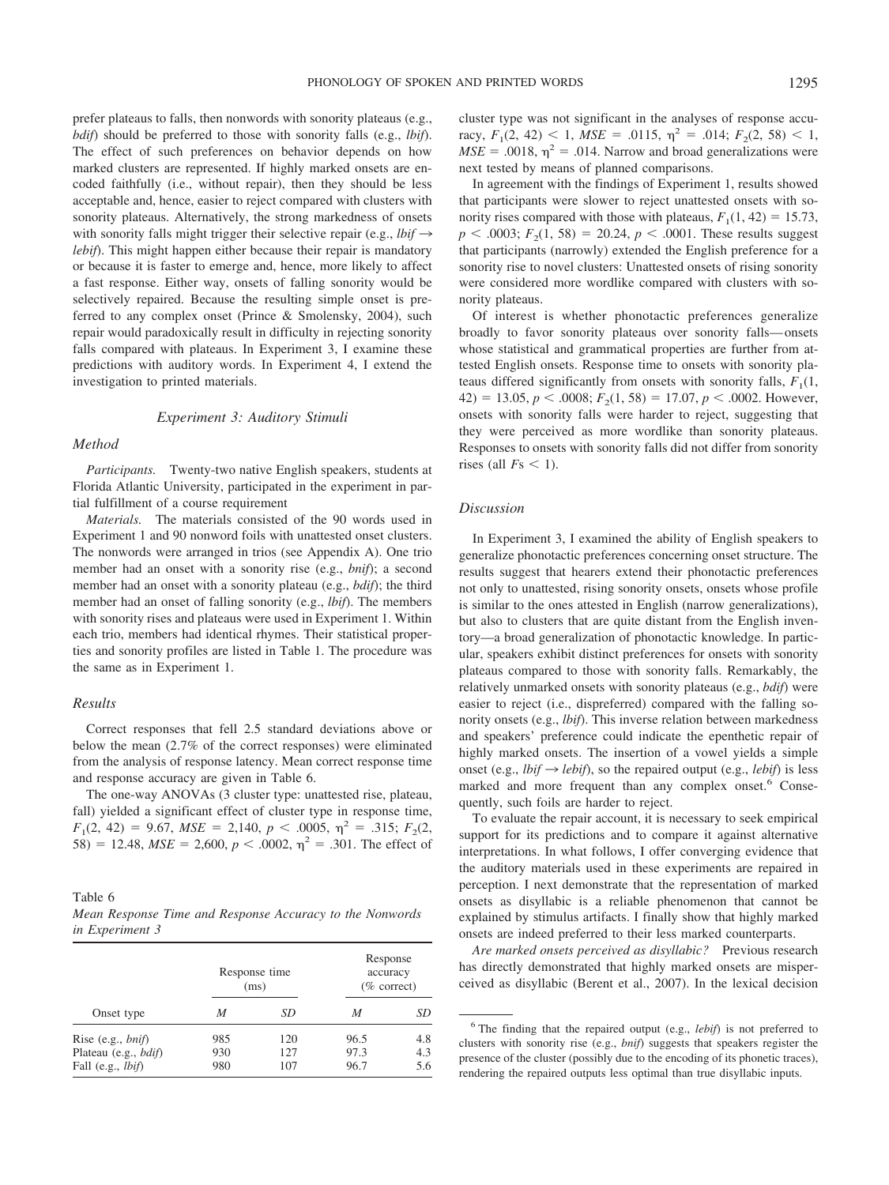prefer plateaus to falls, then nonwords with sonority plateaus (e.g., *bdif*) should be preferred to those with sonority falls (e.g., *lbif*). The effect of such preferences on behavior depends on how marked clusters are represented. If highly marked onsets are encoded faithfully (i.e., without repair), then they should be less acceptable and, hence, easier to reject compared with clusters with sonority plateaus. Alternatively, the strong markedness of onsets with sonority falls might trigger their selective repair (e.g.,  $lbi\rightarrow$ *lebif*). This might happen either because their repair is mandatory or because it is faster to emerge and, hence, more likely to affect a fast response. Either way, onsets of falling sonority would be selectively repaired. Because the resulting simple onset is preferred to any complex onset (Prince & Smolensky, 2004), such repair would paradoxically result in difficulty in rejecting sonority falls compared with plateaus. In Experiment 3, I examine these predictions with auditory words. In Experiment 4, I extend the investigation to printed materials.

## *Experiment 3: Auditory Stimuli*

## *Method*

*Participants.* Twenty-two native English speakers, students at Florida Atlantic University, participated in the experiment in partial fulfillment of a course requirement

*Materials.* The materials consisted of the 90 words used in Experiment 1 and 90 nonword foils with unattested onset clusters. The nonwords were arranged in trios (see Appendix A). One trio member had an onset with a sonority rise (e.g., *bnif*); a second member had an onset with a sonority plateau (e.g., *bdif*); the third member had an onset of falling sonority (e.g., *lbif*). The members with sonority rises and plateaus were used in Experiment 1. Within each trio, members had identical rhymes. Their statistical properties and sonority profiles are listed in Table 1. The procedure was the same as in Experiment 1.

## *Results*

Correct responses that fell 2.5 standard deviations above or below the mean (2.7% of the correct responses) were eliminated from the analysis of response latency. Mean correct response time and response accuracy are given in Table 6.

The one-way ANOVAs (3 cluster type: unattested rise, plateau, fall) yielded a significant effect of cluster type in response time,  $F_1(2, 42) = 9.67, \, MSE = 2,140, \, p < .0005, \, \eta^2 = .315; \, F_2(2,$ 58) = 12.48,  $MSE = 2,600$ ,  $p < .0002$ ,  $\eta^2 = .301$ . The effect of

Table 6 *Mean Response Time and Response Accuracy to the Nonwords in Experiment 3*

|                                                                                   | Response time<br>(ms) |                   | Response<br>accuracy<br>$(\%$ correct) |                   |
|-----------------------------------------------------------------------------------|-----------------------|-------------------|----------------------------------------|-------------------|
| Onset type                                                                        | M                     | SD                | M                                      | SD                |
| Rise (e.g., $bnif$ )<br>Plateau (e.g., <i>bdif</i> )<br>Fall (e.g., <i>lbif</i> ) | 985<br>930<br>980     | 120<br>127<br>107 | 96.5<br>97.3<br>96.7                   | 4.8<br>4.3<br>5.6 |

cluster type was not significant in the analyses of response accuracy,  $F_1(2, 42) < 1$ ,  $MSE = .0115$ ,  $\eta^2 = .014$ ;  $F_2(2, 58) < 1$ ,  $MSE = .0018$ ,  $\eta^2 = .014$ . Narrow and broad generalizations were next tested by means of planned comparisons.

In agreement with the findings of Experiment 1, results showed that participants were slower to reject unattested onsets with sonority rises compared with those with plateaus,  $F_1(1, 42) = 15.73$ ,  $p < .0003$ ;  $F<sub>2</sub>(1, 58) = 20.24$ ,  $p < .0001$ . These results suggest that participants (narrowly) extended the English preference for a sonority rise to novel clusters: Unattested onsets of rising sonority were considered more wordlike compared with clusters with sonority plateaus.

Of interest is whether phonotactic preferences generalize broadly to favor sonority plateaus over sonority falls— onsets whose statistical and grammatical properties are further from attested English onsets. Response time to onsets with sonority plateaus differed significantly from onsets with sonority falls,  $F_1(1, 1)$  $42) = 13.05, p < .0008; F<sub>2</sub>(1, 58) = 17.07, p < .0002$ . However, onsets with sonority falls were harder to reject, suggesting that they were perceived as more wordlike than sonority plateaus. Responses to onsets with sonority falls did not differ from sonority rises (all  $Fs < 1$ ).

## *Discussion*

In Experiment 3, I examined the ability of English speakers to generalize phonotactic preferences concerning onset structure. The results suggest that hearers extend their phonotactic preferences not only to unattested, rising sonority onsets, onsets whose profile is similar to the ones attested in English (narrow generalizations), but also to clusters that are quite distant from the English inventory—a broad generalization of phonotactic knowledge. In particular, speakers exhibit distinct preferences for onsets with sonority plateaus compared to those with sonority falls. Remarkably, the relatively unmarked onsets with sonority plateaus (e.g., *bdif*) were easier to reject (i.e., dispreferred) compared with the falling sonority onsets (e.g., *lbif*). This inverse relation between markedness and speakers' preference could indicate the epenthetic repair of highly marked onsets. The insertion of a vowel yields a simple onset (e.g., *lbif*  $\rightarrow$  *lebif*), so the repaired output (e.g., *lebif*) is less marked and more frequent than any complex onset.<sup>6</sup> Consequently, such foils are harder to reject.

To evaluate the repair account, it is necessary to seek empirical support for its predictions and to compare it against alternative interpretations. In what follows, I offer converging evidence that the auditory materials used in these experiments are repaired in perception. I next demonstrate that the representation of marked onsets as disyllabic is a reliable phenomenon that cannot be explained by stimulus artifacts. I finally show that highly marked onsets are indeed preferred to their less marked counterparts.

*Are marked onsets perceived as disyllabic?* Previous research has directly demonstrated that highly marked onsets are misperceived as disyllabic (Berent et al., 2007). In the lexical decision

<sup>6</sup> The finding that the repaired output (e.g., *lebif*) is not preferred to clusters with sonority rise (e.g., *bnif*) suggests that speakers register the presence of the cluster (possibly due to the encoding of its phonetic traces), rendering the repaired outputs less optimal than true disyllabic inputs.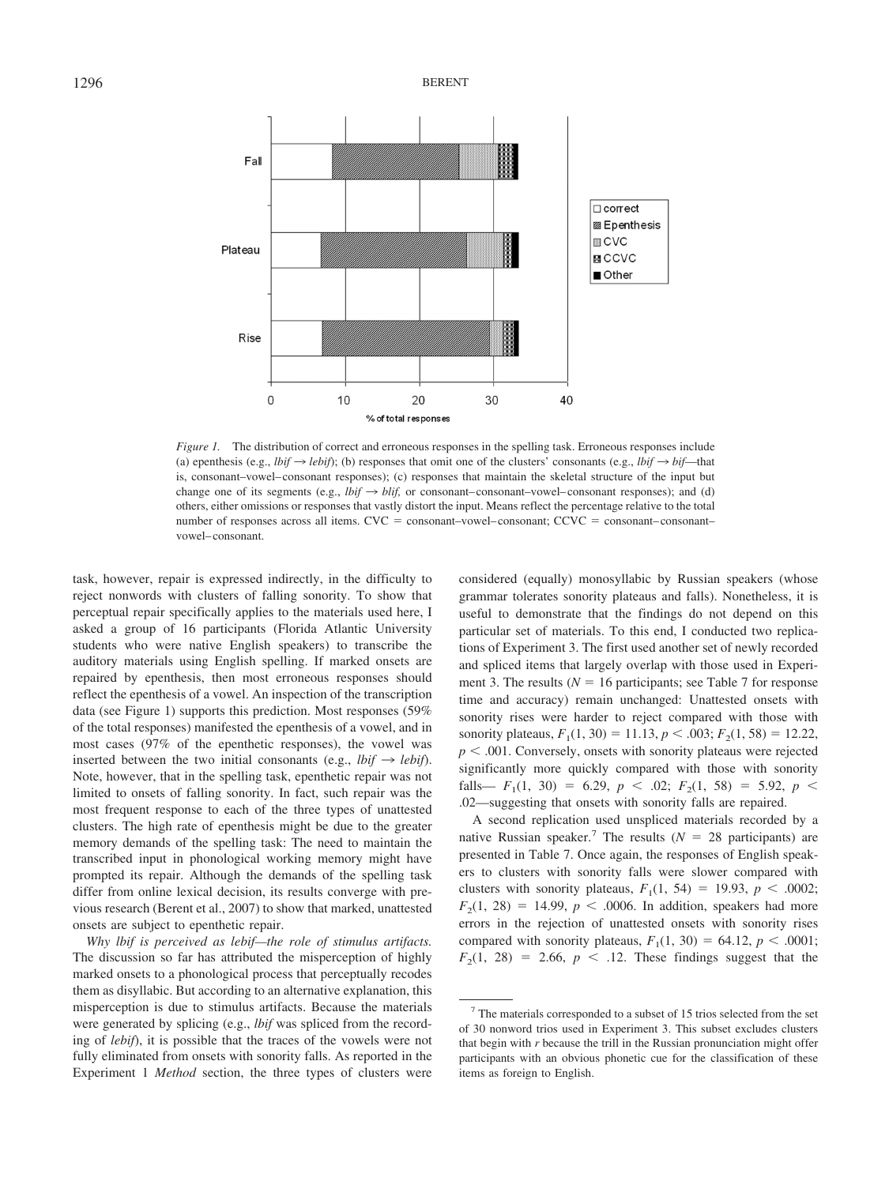

*Figure 1.* The distribution of correct and erroneous responses in the spelling task. Erroneous responses include (a) epenthesis (e.g., *lbif*  $\rightarrow$  *lebif*); (b) responses that omit one of the clusters' consonants (e.g., *lbif*  $\rightarrow$  *bif*—that is, consonant–vowel– consonant responses); (c) responses that maintain the skeletal structure of the input but change one of its segments (e.g.,  $lbif \rightarrow blif$ , or consonant–consonant–vowel–consonant responses); and (d) others, either omissions or responses that vastly distort the input. Means reflect the percentage relative to the total number of responses across all items.  $CVC =$  consonant–vowel–consonant;  $CCVC =$  consonant–consonant– vowel– consonant.

task, however, repair is expressed indirectly, in the difficulty to reject nonwords with clusters of falling sonority. To show that perceptual repair specifically applies to the materials used here, I asked a group of 16 participants (Florida Atlantic University students who were native English speakers) to transcribe the auditory materials using English spelling. If marked onsets are repaired by epenthesis, then most erroneous responses should reflect the epenthesis of a vowel. An inspection of the transcription data (see Figure 1) supports this prediction. Most responses (59% of the total responses) manifested the epenthesis of a vowel, and in most cases (97% of the epenthetic responses), the vowel was inserted between the two initial consonants (e.g., *lbif*  $\rightarrow$  *lebif*). Note, however, that in the spelling task, epenthetic repair was not limited to onsets of falling sonority. In fact, such repair was the most frequent response to each of the three types of unattested clusters. The high rate of epenthesis might be due to the greater memory demands of the spelling task: The need to maintain the transcribed input in phonological working memory might have prompted its repair. Although the demands of the spelling task differ from online lexical decision, its results converge with previous research (Berent et al., 2007) to show that marked, unattested onsets are subject to epenthetic repair.

*Why lbif is perceived as lebif—the role of stimulus artifacts.* The discussion so far has attributed the misperception of highly marked onsets to a phonological process that perceptually recodes them as disyllabic. But according to an alternative explanation, this misperception is due to stimulus artifacts. Because the materials were generated by splicing (e.g., *lbif* was spliced from the recording of *lebif*), it is possible that the traces of the vowels were not fully eliminated from onsets with sonority falls. As reported in the Experiment 1 *Method* section, the three types of clusters were considered (equally) monosyllabic by Russian speakers (whose grammar tolerates sonority plateaus and falls). Nonetheless, it is useful to demonstrate that the findings do not depend on this particular set of materials. To this end, I conducted two replications of Experiment 3. The first used another set of newly recorded and spliced items that largely overlap with those used in Experiment 3. The results ( $N = 16$  participants; see Table 7 for response time and accuracy) remain unchanged: Unattested onsets with sonority rises were harder to reject compared with those with sonority plateaus,  $F_1(1, 30) = 11.13$ ,  $p < .003$ ;  $F_2(1, 58) = 12.22$ ,  $p < .001$ . Conversely, onsets with sonority plateaus were rejected significantly more quickly compared with those with sonority falls—  $F_1(1, 30) = 6.29, p < .02; F_2(1, 58) = 5.92, p < .02$ .02—suggesting that onsets with sonority falls are repaired.

A second replication used unspliced materials recorded by a native Russian speaker.<sup>7</sup> The results ( $N = 28$  participants) are presented in Table 7. Once again, the responses of English speakers to clusters with sonority falls were slower compared with clusters with sonority plateaus,  $F_1(1, 54) = 19.93$ ,  $p < .0002$ ;  $F_2(1, 28) = 14.99, p < .0006$ . In addition, speakers had more errors in the rejection of unattested onsets with sonority rises compared with sonority plateaus,  $F_1(1, 30) = 64.12$ ,  $p < .0001$ ;  $F<sub>2</sub>(1, 28) = 2.66, p < .12$ . These findings suggest that the

 $7$  The materials corresponded to a subset of 15 trios selected from the set of 30 nonword trios used in Experiment 3. This subset excludes clusters that begin with *r* because the trill in the Russian pronunciation might offer participants with an obvious phonetic cue for the classification of these items as foreign to English.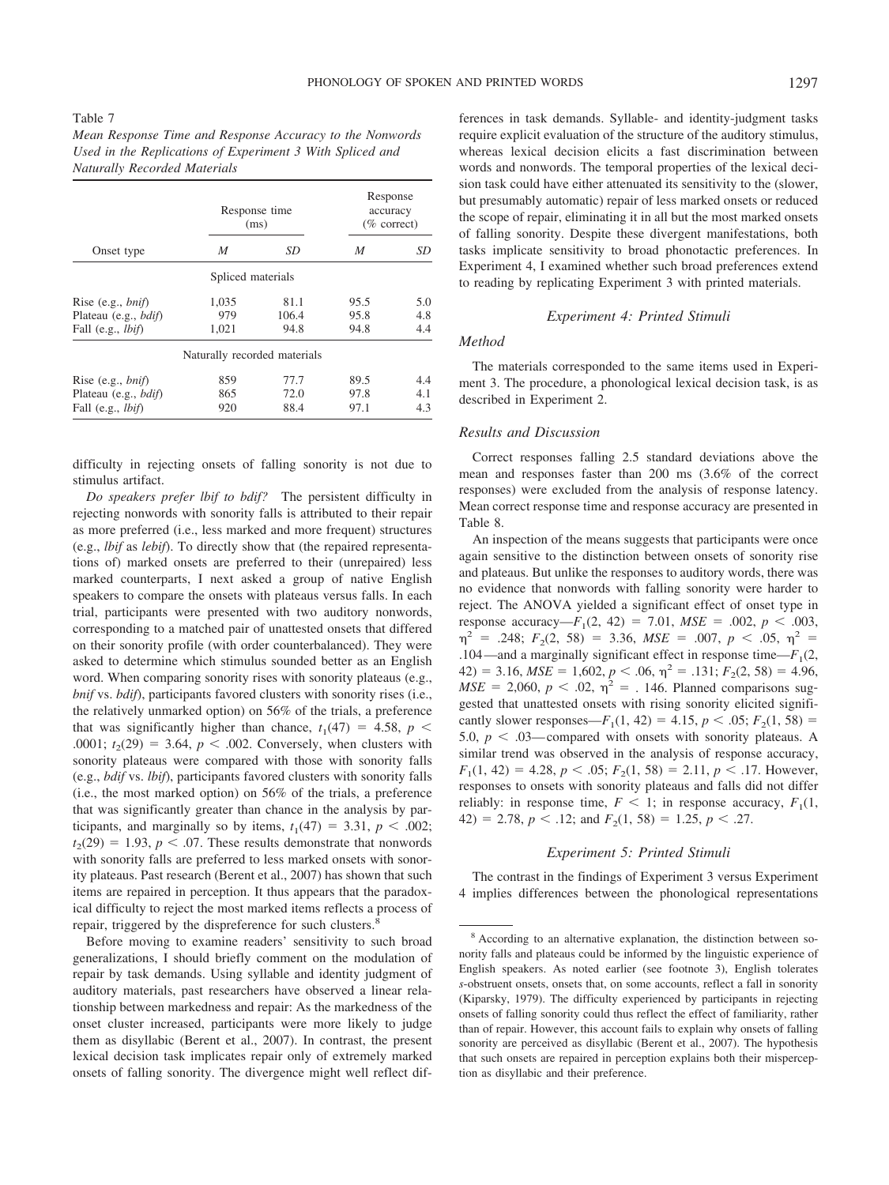#### Table 7

| Mean Response Time and Response Accuracy to the Nonwords  |  |
|-----------------------------------------------------------|--|
| Used in the Replications of Experiment 3 With Spliced and |  |
| <b>Naturally Recorded Materials</b>                       |  |

|                              |                              | Response time<br>(ms) |      | Response<br>accuracy<br>$(\%$ correct) |
|------------------------------|------------------------------|-----------------------|------|----------------------------------------|
| Onset type                   | M                            | SD                    | M    | SD                                     |
|                              | Spliced materials            |                       |      |                                        |
| Rise (e.g., $bnif$ )         | 1,035                        | 81.1                  | 95.5 | 5.0                                    |
| Plateau (e.g., bdif)         | 979                          | 106.4                 | 95.8 | 4.8                                    |
| Fall (e.g., <i>lbif</i> )    | 1,021                        | 94.8                  | 94.8 | 4.4                                    |
|                              | Naturally recorded materials |                       |      |                                        |
| Rise (e.g., $bnif$ )         | 859                          | 77.7                  | 89.5 | 4.4                                    |
| Plateau (e.g., <i>bdif</i> ) | 865                          | 72.0                  | 97.8 | 4.1                                    |
| Fall (e.g., <i>lbif</i> )    | 920                          | 88.4                  | 97.1 | 4.3                                    |

difficulty in rejecting onsets of falling sonority is not due to stimulus artifact.

*Do speakers prefer lbif to bdif?* The persistent difficulty in rejecting nonwords with sonority falls is attributed to their repair as more preferred (i.e., less marked and more frequent) structures (e.g., *lbif* as *lebif*). To directly show that (the repaired representations of) marked onsets are preferred to their (unrepaired) less marked counterparts, I next asked a group of native English speakers to compare the onsets with plateaus versus falls. In each trial, participants were presented with two auditory nonwords, corresponding to a matched pair of unattested onsets that differed on their sonority profile (with order counterbalanced). They were asked to determine which stimulus sounded better as an English word. When comparing sonority rises with sonority plateaus (e.g., *bnif* vs. *bdif*), participants favored clusters with sonority rises (i.e., the relatively unmarked option) on 56% of the trials, a preference that was significantly higher than chance,  $t_1(47) = 4.58$ ,  $p <$ .0001;  $t_2(29) = 3.64$ ,  $p < .002$ . Conversely, when clusters with sonority plateaus were compared with those with sonority falls (e.g., *bdif* vs. *lbif*), participants favored clusters with sonority falls (i.e., the most marked option) on 56% of the trials, a preference that was significantly greater than chance in the analysis by participants, and marginally so by items,  $t_1(47) = 3.31$ ,  $p < .002$ ;  $t_2(29) = 1.93$ ,  $p < .07$ . These results demonstrate that nonwords with sonority falls are preferred to less marked onsets with sonority plateaus. Past research (Berent et al., 2007) has shown that such items are repaired in perception. It thus appears that the paradoxical difficulty to reject the most marked items reflects a process of repair, triggered by the dispreference for such clusters.<sup>8</sup>

Before moving to examine readers' sensitivity to such broad generalizations, I should briefly comment on the modulation of repair by task demands. Using syllable and identity judgment of auditory materials, past researchers have observed a linear relationship between markedness and repair: As the markedness of the onset cluster increased, participants were more likely to judge them as disyllabic (Berent et al., 2007). In contrast, the present lexical decision task implicates repair only of extremely marked onsets of falling sonority. The divergence might well reflect differences in task demands. Syllable- and identity-judgment tasks require explicit evaluation of the structure of the auditory stimulus, whereas lexical decision elicits a fast discrimination between words and nonwords. The temporal properties of the lexical decision task could have either attenuated its sensitivity to the (slower, but presumably automatic) repair of less marked onsets or reduced the scope of repair, eliminating it in all but the most marked onsets of falling sonority. Despite these divergent manifestations, both tasks implicate sensitivity to broad phonotactic preferences. In Experiment 4, I examined whether such broad preferences extend to reading by replicating Experiment 3 with printed materials.

## *Experiment 4: Printed Stimuli*

## *Method*

The materials corresponded to the same items used in Experiment 3. The procedure, a phonological lexical decision task, is as described in Experiment 2.

#### *Results and Discussion*

Correct responses falling 2.5 standard deviations above the mean and responses faster than 200 ms (3.6% of the correct responses) were excluded from the analysis of response latency. Mean correct response time and response accuracy are presented in Table 8.

An inspection of the means suggests that participants were once again sensitive to the distinction between onsets of sonority rise and plateaus. But unlike the responses to auditory words, there was no evidence that nonwords with falling sonority were harder to reject. The ANOVA yielded a significant effect of onset type in response accuracy— $F_1(2, 42) = 7.01$ ,  $MSE = .002$ ,  $p < .003$ ,  $\eta^2$  = .248;  $F_2(2, 58)$  = 3.36,  $MSE$  = .007,  $p < .05$ ,  $\eta^2$  = .104—and a marginally significant effect in response time— $F_1(2, 1)$  $42) = 3.16$ ,  $MSE = 1,602$ ,  $p < .06$ ,  $\eta^2 = .131$ ;  $F_2(2, 58) = 4.96$ ,  $MSE = 2,060, p < .02, \eta^2 = .146$ . Planned comparisons suggested that unattested onsets with rising sonority elicited significantly slower responses—*F*<sub>1</sub>(1, 42) = 4.15,  $p < .05$ ;  $F_2(1, 58)$  = 5.0,  $p < .03$ — compared with onsets with sonority plateaus. A similar trend was observed in the analysis of response accuracy,  $F_1(1, 42) = 4.28, p < .05; F_2(1, 58) = 2.11, p < .17.$  However, responses to onsets with sonority plateaus and falls did not differ reliably: in response time,  $F < 1$ ; in response accuracy,  $F_1(1,$  $42) = 2.78, p < .12$ ; and  $F<sub>2</sub>(1, 58) = 1.25, p < .27$ .

#### *Experiment 5: Printed Stimuli*

The contrast in the findings of Experiment 3 versus Experiment 4 implies differences between the phonological representations

<sup>8</sup> According to an alternative explanation, the distinction between sonority falls and plateaus could be informed by the linguistic experience of English speakers. As noted earlier (see footnote 3), English tolerates *s*-obstruent onsets, onsets that, on some accounts, reflect a fall in sonority (Kiparsky, 1979). The difficulty experienced by participants in rejecting onsets of falling sonority could thus reflect the effect of familiarity, rather than of repair. However, this account fails to explain why onsets of falling sonority are perceived as disyllabic (Berent et al., 2007). The hypothesis that such onsets are repaired in perception explains both their misperception as disyllabic and their preference.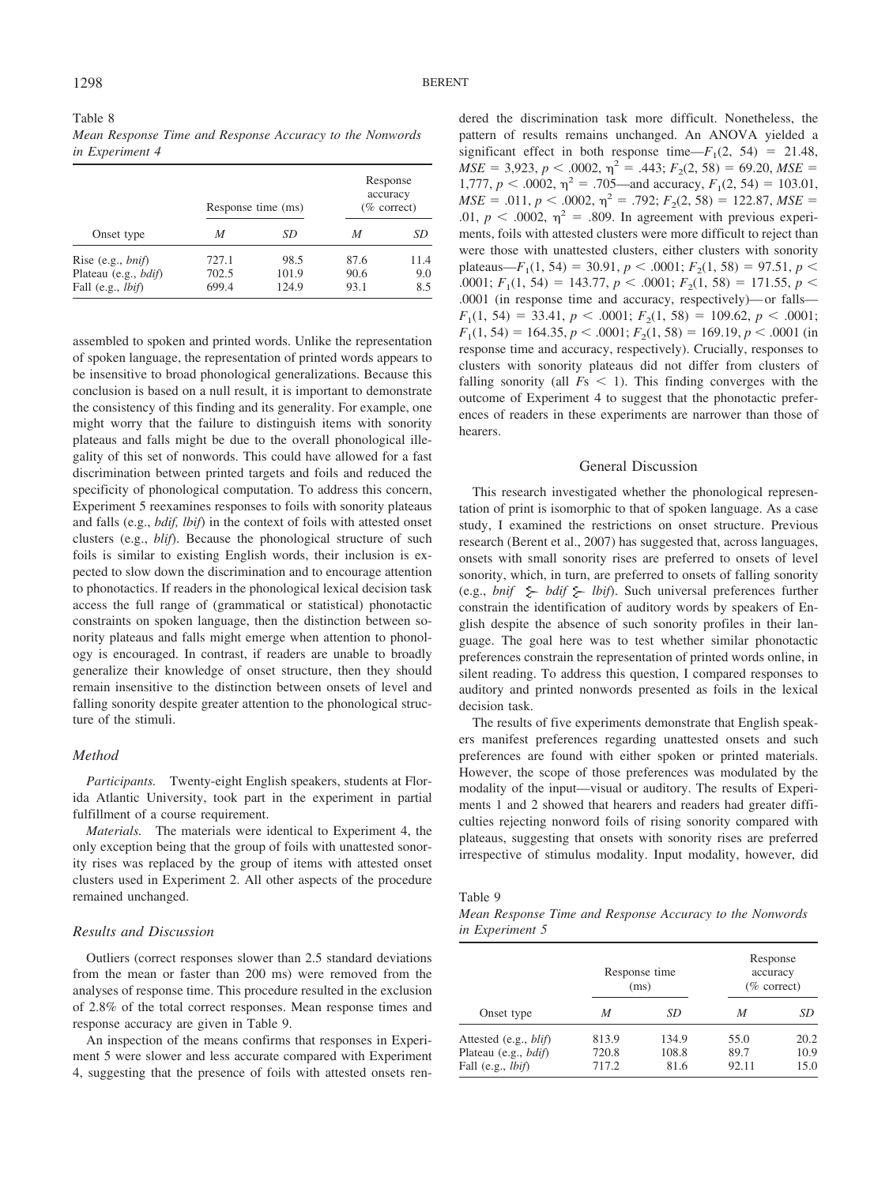| Table 8 |                                                          |  |  |  |  |
|---------|----------------------------------------------------------|--|--|--|--|
|         | Mean Response Time and Response Accuracy to the Nonwords |  |  |  |  |
|         | in Experiment 4                                          |  |  |  |  |

|                              |       | Response time (ms) |      | Response<br>accuracy<br>$(\%$ correct) |
|------------------------------|-------|--------------------|------|----------------------------------------|
| Onset type                   | M     | SD                 | M    | SD                                     |
| Rise $(e.g., bnif)$          | 727.1 | 98.5               | 87.6 | 11.4                                   |
| Plateau (e.g., <i>bdif</i> ) | 702.5 | 101.9              | 90.6 | 9.0                                    |
| Fall (e.g., <i>lbif</i> )    | 699.4 | 124.9              | 93.1 | 8.5                                    |

assembled to spoken and printed words. Unlike the representation of spoken language, the representation of printed words appears to be insensitive to broad phonological generalizations. Because this conclusion is based on a null result, it is important to demonstrate the consistency of this finding and its generality. For example, one might worry that the failure to distinguish items with sonority plateaus and falls might be due to the overall phonological illegality of this set of nonwords. This could have allowed for a fast discrimination between printed targets and foils and reduced the specificity of phonological computation. To address this concern, Experiment 5 reexamines responses to foils with sonority plateaus and falls (e.g., *bdif, lbif*) in the context of foils with attested onset clusters (e.g., *blif*). Because the phonological structure of such foils is similar to existing English words, their inclusion is expected to slow down the discrimination and to encourage attention to phonotactics. If readers in the phonological lexical decision task access the full range of (grammatical or statistical) phonotactic constraints on spoken language, then the distinction between sonority plateaus and falls might emerge when attention to phonology is encouraged. In contrast, if readers are unable to broadly generalize their knowledge of onset structure, then they should remain insensitive to the distinction between onsets of level and falling sonority despite greater attention to the phonological structure of the stimuli.

## *Method*

*Participants.* Twenty-eight English speakers, students at Florida Atlantic University, took part in the experiment in partial fulfillment of a course requirement.

*Materials.* The materials were identical to Experiment 4, the only exception being that the group of foils with unattested sonority rises was replaced by the group of items with attested onset clusters used in Experiment 2. All other aspects of the procedure remained unchanged.

## *Results and Discussion*

Outliers (correct responses slower than 2.5 standard deviations from the mean or faster than 200 ms) were removed from the analyses of response time. This procedure resulted in the exclusion of 2.8% of the total correct responses. Mean response times and response accuracy are given in Table 9.

An inspection of the means confirms that responses in Experiment 5 were slower and less accurate compared with Experiment 4, suggesting that the presence of foils with attested onsets rendered the discrimination task more difficult. Nonetheless, the pattern of results remains unchanged. An ANOVA yielded a significant effect in both response time— $F_1(2, 54) = 21.48$ ,  $MSE = 3,923$ ,  $p < .0002$ ,  $\eta^2 = .443$ ;  $F_2(2, 58) = 69.20$ ,  $MSE =$ 1,777,  $p < .0002$ ,  $\eta^2 = .705$ —and accuracy,  $F_1(2, 54) = 103.01$ ,  $MSE = .011$ ,  $p < .0002$ ,  $\eta^2 = .792$ ;  $F_2(2, 58) = 122.87$ ,  $MSE =$ .01,  $p < .0002$ ,  $\eta^2 = .809$ . In agreement with previous experiments, foils with attested clusters were more difficult to reject than were those with unattested clusters, either clusters with sonority plateaus—*F*<sub>1</sub>(1, 54) = 30.91,  $p < .0001$ ;  $F_2(1, 58) = 97.51$ ,  $p <$ .0001;  $F_1(1, 54) = 143.77, p < .0001; F_2(1, 58) = 171.55, p < .0001$ .0001 (in response time and accuracy, respectively)— or falls—  $F_1(1, 54) = 33.41, p < .0001; F_2(1, 58) = 109.62, p < .0001;$  $F_1(1, 54) = 164.35, p < .0001; F_2(1, 58) = 169.19, p < .0001$  (in response time and accuracy, respectively). Crucially, responses to clusters with sonority plateaus did not differ from clusters of falling sonority (all  $Fs < 1$ ). This finding converges with the outcome of Experiment 4 to suggest that the phonotactic preferences of readers in these experiments are narrower than those of hearers.

## General Discussion

This research investigated whether the phonological representation of print is isomorphic to that of spoken language. As a case study, I examined the restrictions on onset structure. Previous research (Berent et al., 2007) has suggested that, across languages, onsets with small sonority rises are preferred to onsets of level sonority, which, in turn, are preferred to onsets of falling sonority (e.g., *bnif*  $\geq$  *bdif*  $\geq$  *lbif*). Such universal preferences further constrain the identification of auditory words by speakers of English despite the absence of such sonority profiles in their language. The goal here was to test whether similar phonotactic preferences constrain the representation of printed words online, in silent reading. To address this question, I compared responses to auditory and printed nonwords presented as foils in the lexical decision task.

The results of five experiments demonstrate that English speakers manifest preferences regarding unattested onsets and such preferences are found with either spoken or printed materials. However, the scope of those preferences was modulated by the modality of the input—visual or auditory. The results of Experiments 1 and 2 showed that hearers and readers had greater difficulties rejecting nonword foils of rising sonority compared with plateaus, suggesting that onsets with sonority rises are preferred irrespective of stimulus modality. Input modality, however, did

*Mean Response Time and Response Accuracy to the Nonwords in Experiment 5*

|                                                                                       |                         | Response time<br>(ms)  | Response<br>accuracy<br>$(\%$ correct) |                      |  |
|---------------------------------------------------------------------------------------|-------------------------|------------------------|----------------------------------------|----------------------|--|
| Onset type                                                                            | M                       | SD                     | М                                      | SD                   |  |
| Attested (e.g., <i>blif</i> )<br>Plateau (e.g., <i>bdif</i> )<br>Fall (e.g., $lbif$ ) | 813.9<br>720.8<br>717.2 | 134.9<br>108.8<br>81.6 | 55.0<br>89.7<br>92.11                  | 20.2<br>10.9<br>15.0 |  |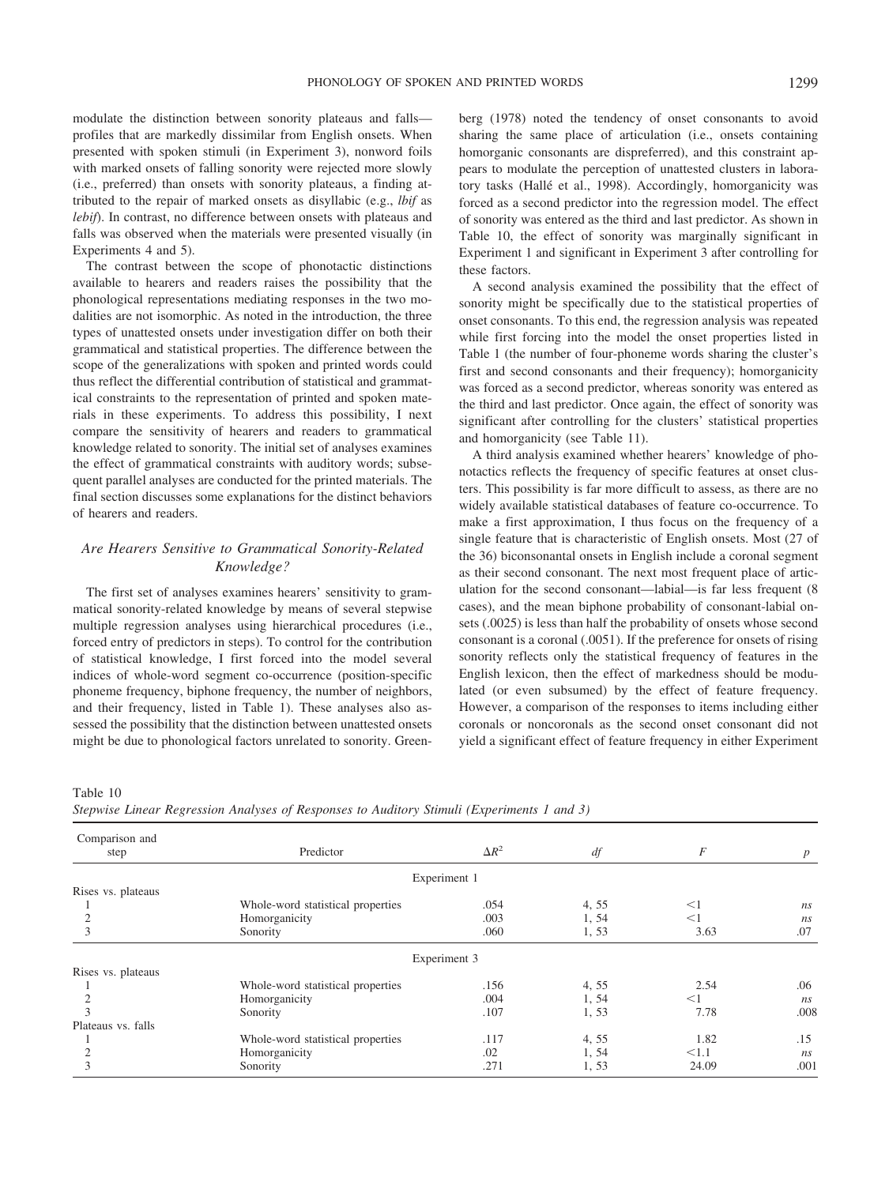modulate the distinction between sonority plateaus and falls profiles that are markedly dissimilar from English onsets. When presented with spoken stimuli (in Experiment 3), nonword foils with marked onsets of falling sonority were rejected more slowly (i.e., preferred) than onsets with sonority plateaus, a finding attributed to the repair of marked onsets as disyllabic (e.g., *lbif* as *lebif*). In contrast, no difference between onsets with plateaus and falls was observed when the materials were presented visually (in Experiments 4 and 5).

The contrast between the scope of phonotactic distinctions available to hearers and readers raises the possibility that the phonological representations mediating responses in the two modalities are not isomorphic. As noted in the introduction, the three types of unattested onsets under investigation differ on both their grammatical and statistical properties. The difference between the scope of the generalizations with spoken and printed words could thus reflect the differential contribution of statistical and grammatical constraints to the representation of printed and spoken materials in these experiments. To address this possibility, I next compare the sensitivity of hearers and readers to grammatical knowledge related to sonority. The initial set of analyses examines the effect of grammatical constraints with auditory words; subsequent parallel analyses are conducted for the printed materials. The final section discusses some explanations for the distinct behaviors of hearers and readers.

# *Are Hearers Sensitive to Grammatical Sonority-Related Knowledge?*

The first set of analyses examines hearers' sensitivity to grammatical sonority-related knowledge by means of several stepwise multiple regression analyses using hierarchical procedures (i.e., forced entry of predictors in steps). To control for the contribution of statistical knowledge, I first forced into the model several indices of whole-word segment co-occurrence (position-specific phoneme frequency, biphone frequency, the number of neighbors, and their frequency, listed in Table 1). These analyses also assessed the possibility that the distinction between unattested onsets might be due to phonological factors unrelated to sonority. Greenberg (1978) noted the tendency of onset consonants to avoid sharing the same place of articulation (i.e., onsets containing homorganic consonants are dispreferred), and this constraint appears to modulate the perception of unattested clusters in laboratory tasks (Hallé et al., 1998). Accordingly, homorganicity was forced as a second predictor into the regression model. The effect of sonority was entered as the third and last predictor. As shown in Table 10, the effect of sonority was marginally significant in Experiment 1 and significant in Experiment 3 after controlling for these factors.

A second analysis examined the possibility that the effect of sonority might be specifically due to the statistical properties of onset consonants. To this end, the regression analysis was repeated while first forcing into the model the onset properties listed in Table 1 (the number of four-phoneme words sharing the cluster's first and second consonants and their frequency); homorganicity was forced as a second predictor, whereas sonority was entered as the third and last predictor. Once again, the effect of sonority was significant after controlling for the clusters' statistical properties and homorganicity (see Table 11).

A third analysis examined whether hearers' knowledge of phonotactics reflects the frequency of specific features at onset clusters. This possibility is far more difficult to assess, as there are no widely available statistical databases of feature co-occurrence. To make a first approximation, I thus focus on the frequency of a single feature that is characteristic of English onsets. Most (27 of the 36) biconsonantal onsets in English include a coronal segment as their second consonant. The next most frequent place of articulation for the second consonant—labial—is far less frequent (8 cases), and the mean biphone probability of consonant-labial onsets (.0025) is less than half the probability of onsets whose second consonant is a coronal (.0051). If the preference for onsets of rising sonority reflects only the statistical frequency of features in the English lexicon, then the effect of markedness should be modulated (or even subsumed) by the effect of feature frequency. However, a comparison of the responses to items including either coronals or noncoronals as the second onset consonant did not yield a significant effect of feature frequency in either Experiment

*Stepwise Linear Regression Analyses of Responses to Auditory Stimuli (Experiments 1 and 3)*

| Comparison and<br>step | Predictor                         | $\Delta R^2$ | df    | F     | $\boldsymbol{p}$ |
|------------------------|-----------------------------------|--------------|-------|-------|------------------|
|                        |                                   | Experiment 1 |       |       |                  |
| Rises vs. plateaus     |                                   |              |       |       |                  |
|                        | Whole-word statistical properties | .054         | 4, 55 | $<$ 1 | ns               |
| $\overline{2}$         | Homorganicity                     | .003         | 1, 54 | <1    | ns               |
| 3                      | Sonority                          | .060         | 1,53  | 3.63  | .07              |
|                        |                                   | Experiment 3 |       |       |                  |
| Rises vs. plateaus     |                                   |              |       |       |                  |
|                        | Whole-word statistical properties | .156         | 4, 55 | 2.54  | .06              |
|                        | Homorganicity                     | .004         | 1, 54 | $<$ 1 | ns               |
|                        | Sonority                          | .107         | 1,53  | 7.78  | .008             |
| Plateaus vs. falls     |                                   |              |       |       |                  |
|                        | Whole-word statistical properties | .117         | 4, 55 | 1.82  | .15              |
|                        | Homorganicity                     | .02          | 1, 54 | < 1.1 | ns               |
|                        | Sonority                          | .271         | 1,53  | 24.09 | .001             |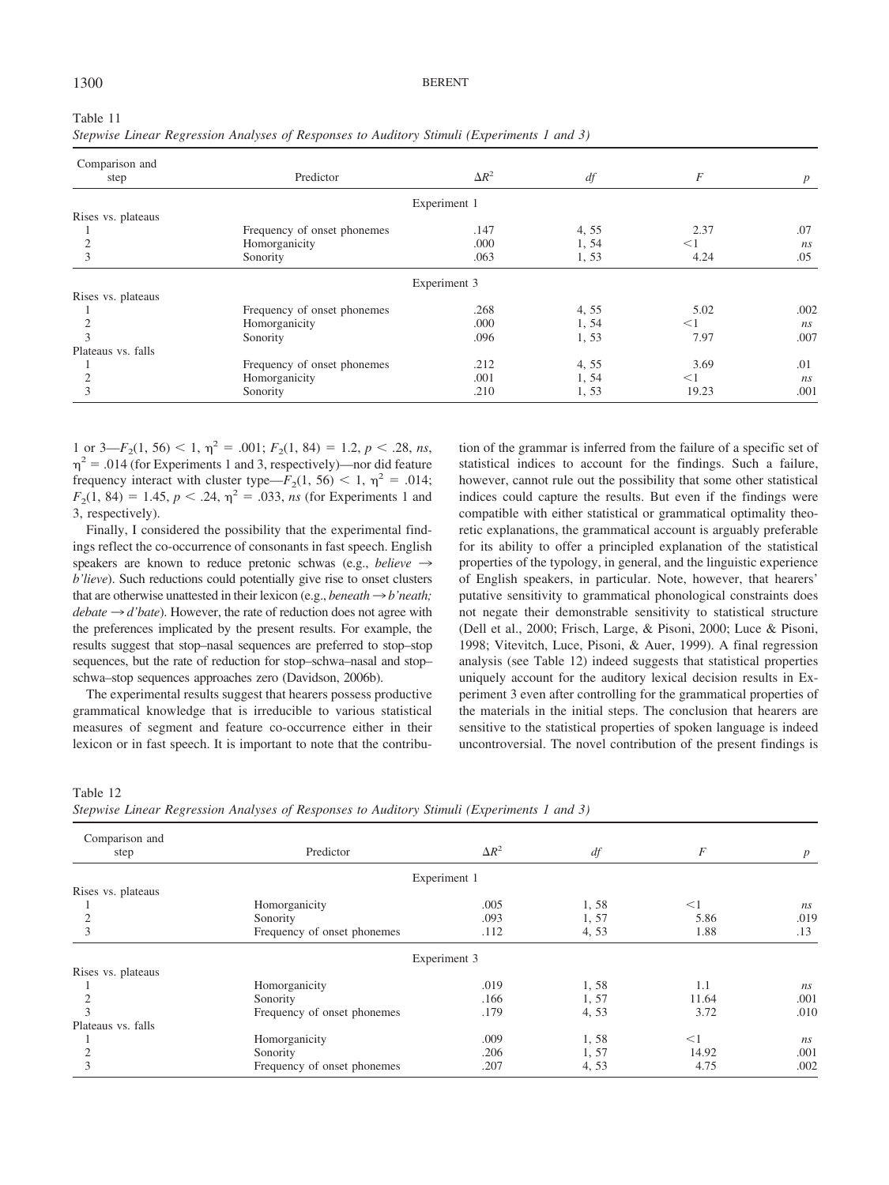| Stepwise Linear Regression Analyses of Responses to Auditory Stimuli (Experiments 1 and 3) |                             |              |       |          |                 |
|--------------------------------------------------------------------------------------------|-----------------------------|--------------|-------|----------|-----------------|
| Comparison and<br>step                                                                     | Predictor                   | $\Delta R^2$ | df    | F        | $p_{\parallel}$ |
|                                                                                            |                             | Experiment 1 |       |          |                 |
| Rises vs. plateaus                                                                         |                             |              |       |          |                 |
|                                                                                            | Frequency of onset phonemes | .147         | 4, 55 | 2.37     | .07             |
|                                                                                            | Homorganicity               | .000         | 1, 54 | $<$ 1    | ns              |
|                                                                                            | Sonority                    | .063         | 1, 53 | 4.24     | .05             |
|                                                                                            |                             | Experiment 3 |       |          |                 |
| Rises vs. plateaus                                                                         |                             |              |       |          |                 |
|                                                                                            | Frequency of onset phonemes | .268         | 4, 55 | 5.02     | .002            |
|                                                                                            | Homorganicity               | .000         | 1, 54 | $\leq$ 1 | ns              |
|                                                                                            | Sonority                    | .096         | 1,53  | 7.97     | .007            |
| Plateaus vs. falls                                                                         |                             |              |       |          |                 |
|                                                                                            | Frequency of onset phonemes | .212         | 4, 55 | 3.69     | .01             |
|                                                                                            | Homorganicity               | .001         | 1, 54 | $\leq$ 1 | ns              |
|                                                                                            | Sonority                    | .210         | 1, 53 | 19.23    | .001            |

1 or  $3-F_2(1, 56) < 1$ ,  $\eta^2 = .001$ ;  $F_2(1, 84) = 1.2$ ,  $p < .28$ , ns,  $\eta^2 = .014$  (for Experiments 1 and 3, respectively)—nor did feature frequency interact with cluster type— $F_2(1, 56) < 1$ ,  $\eta^2 = .014$ ;  $F_2(1, 84) = 1.45, p < .24, \eta^2 = .033, ns$  (for Experiments 1 and 3, respectively).

Finally, I considered the possibility that the experimental findings reflect the co-occurrence of consonants in fast speech. English speakers are known to reduce pretonic schwas (e.g., *believe*  $\rightarrow$ *b'lieve*). Such reductions could potentially give rise to onset clusters that are otherwise unattested in their lexicon (e.g., *beneath*  $\rightarrow$  *b*'*neath*;  $debate \rightarrow d'bate$ ). However, the rate of reduction does not agree with the preferences implicated by the present results. For example, the results suggest that stop–nasal sequences are preferred to stop–stop sequences, but the rate of reduction for stop–schwa–nasal and stop– schwa–stop sequences approaches zero (Davidson, 2006b).

The experimental results suggest that hearers possess productive grammatical knowledge that is irreducible to various statistical measures of segment and feature co-occurrence either in their lexicon or in fast speech. It is important to note that the contribution of the grammar is inferred from the failure of a specific set of statistical indices to account for the findings. Such a failure, however, cannot rule out the possibility that some other statistical indices could capture the results. But even if the findings were compatible with either statistical or grammatical optimality theoretic explanations, the grammatical account is arguably preferable for its ability to offer a principled explanation of the statistical properties of the typology, in general, and the linguistic experience of English speakers, in particular. Note, however, that hearers' putative sensitivity to grammatical phonological constraints does not negate their demonstrable sensitivity to statistical structure (Dell et al., 2000; Frisch, Large, & Pisoni, 2000; Luce & Pisoni, 1998; Vitevitch, Luce, Pisoni, & Auer, 1999). A final regression analysis (see Table 12) indeed suggests that statistical properties uniquely account for the auditory lexical decision results in Experiment 3 even after controlling for the grammatical properties of the materials in the initial steps. The conclusion that hearers are sensitive to the statistical properties of spoken language is indeed uncontroversial. The novel contribution of the present findings is

Table 12

*Stepwise Linear Regression Analyses of Responses to Auditory Stimuli (Experiments 1 and 3)*

| Comparison and     |                             |              |       |       |                  |
|--------------------|-----------------------------|--------------|-------|-------|------------------|
| step               | Predictor                   | $\Delta R^2$ | df    | F     | $\boldsymbol{p}$ |
|                    |                             | Experiment 1 |       |       |                  |
| Rises vs. plateaus |                             |              |       |       |                  |
|                    | Homorganicity               | .005         | 1,58  | $<$ 1 | ns               |
|                    | Sonority                    | .093         | 1,57  | 5.86  | .019             |
| 3                  | Frequency of onset phonemes | .112         | 4,53  | 1.88  | .13              |
|                    |                             | Experiment 3 |       |       |                  |
| Rises vs. plateaus |                             |              |       |       |                  |
|                    | Homorganicity               | .019         | 1,58  | 1.1   | ns               |
|                    | Sonority                    | .166         | 1,57  | 11.64 | .001             |
| 3                  | Frequency of onset phonemes | .179         | 4,53  | 3.72  | .010             |
| Plateaus vs. falls |                             |              |       |       |                  |
|                    | Homorganicity               | .009         | 1,58  | $<$ 1 | ns               |
| 2                  | Sonority                    | .206         | 1, 57 | 14.92 | .001             |
| 3                  | Frequency of onset phonemes | .207         | 4, 53 | 4.75  | .002             |

Table 11

## 1300 BERENT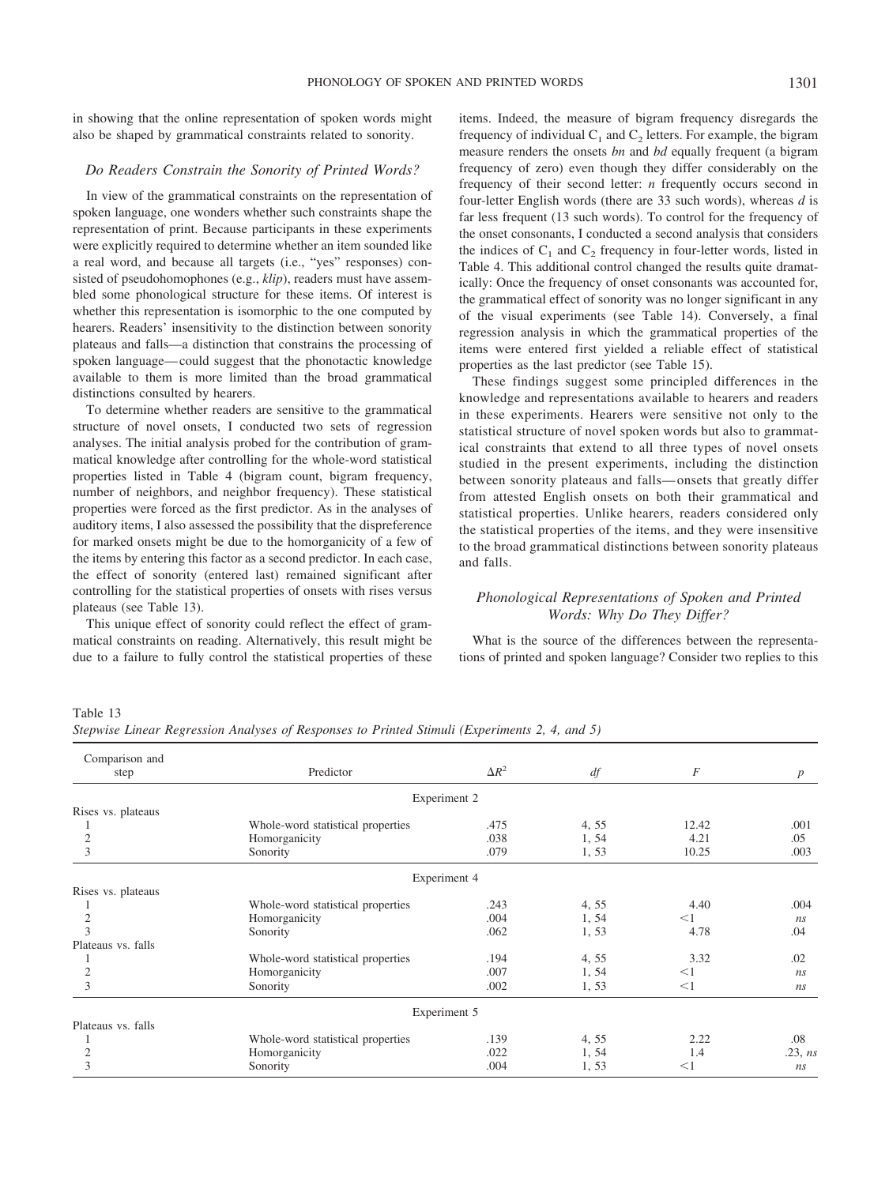in showing that the online representation of spoken words might also be shaped by grammatical constraints related to sonority.

## *Do Readers Constrain the Sonority of Printed Words?*

In view of the grammatical constraints on the representation of spoken language, one wonders whether such constraints shape the representation of print. Because participants in these experiments were explicitly required to determine whether an item sounded like a real word, and because all targets (i.e., "yes" responses) consisted of pseudohomophones (e.g., *klip*), readers must have assembled some phonological structure for these items. Of interest is whether this representation is isomorphic to the one computed by hearers. Readers' insensitivity to the distinction between sonority plateaus and falls—a distinction that constrains the processing of spoken language— could suggest that the phonotactic knowledge available to them is more limited than the broad grammatical distinctions consulted by hearers.

To determine whether readers are sensitive to the grammatical structure of novel onsets, I conducted two sets of regression analyses. The initial analysis probed for the contribution of grammatical knowledge after controlling for the whole-word statistical properties listed in Table 4 (bigram count, bigram frequency, number of neighbors, and neighbor frequency). These statistical properties were forced as the first predictor. As in the analyses of auditory items, I also assessed the possibility that the dispreference for marked onsets might be due to the homorganicity of a few of the items by entering this factor as a second predictor. In each case, the effect of sonority (entered last) remained significant after controlling for the statistical properties of onsets with rises versus plateaus (see Table 13).

This unique effect of sonority could reflect the effect of grammatical constraints on reading. Alternatively, this result might be due to a failure to fully control the statistical properties of these items. Indeed, the measure of bigram frequency disregards the frequency of individual  $C_1$  and  $C_2$  letters. For example, the bigram measure renders the onsets *bn* and *bd* equally frequent (a bigram frequency of zero) even though they differ considerably on the frequency of their second letter: *n* frequently occurs second in four-letter English words (there are 33 such words), whereas *d* is far less frequent (13 such words). To control for the frequency of the onset consonants, I conducted a second analysis that considers the indices of  $C_1$  and  $C_2$  frequency in four-letter words, listed in Table 4. This additional control changed the results quite dramatically: Once the frequency of onset consonants was accounted for, the grammatical effect of sonority was no longer significant in any of the visual experiments (see Table 14). Conversely, a final regression analysis in which the grammatical properties of the items were entered first yielded a reliable effect of statistical properties as the last predictor (see Table 15).

These findings suggest some principled differences in the knowledge and representations available to hearers and readers in these experiments. Hearers were sensitive not only to the statistical structure of novel spoken words but also to grammatical constraints that extend to all three types of novel onsets studied in the present experiments, including the distinction between sonority plateaus and falls— onsets that greatly differ from attested English onsets on both their grammatical and statistical properties. Unlike hearers, readers considered only the statistical properties of the items, and they were insensitive to the broad grammatical distinctions between sonority plateaus and falls.

# *Phonological Representations of Spoken and Printed Words: Why Do They Differ?*

What is the source of the differences between the representations of printed and spoken language? Consider two replies to this

*Stepwise Linear Regression Analyses of Responses to Printed Stimuli (Experiments 2, 4, and 5)*

| Comparison and     |                                   |              |       |          |                  |
|--------------------|-----------------------------------|--------------|-------|----------|------------------|
| step               | Predictor                         | $\Delta R^2$ | df    | F        | $\boldsymbol{p}$ |
|                    | Experiment 2                      |              |       |          |                  |
| Rises vs. plateaus |                                   |              |       |          |                  |
|                    | Whole-word statistical properties | .475         | 4, 55 | 12.42    | .001             |
| $\mathfrak{2}$     | Homorganicity                     | .038         | 1, 54 | 4.21     | .05              |
| 3                  | Sonority                          | .079         | 1, 53 | 10.25    | .003             |
|                    | Experiment 4                      |              |       |          |                  |
| Rises vs. plateaus |                                   |              |       |          |                  |
|                    | Whole-word statistical properties | .243         | 4, 55 | 4.40     | .004             |
| $\mathfrak{2}$     | Homorganicity                     | .004         | 1, 54 | $<$ 1    | ns               |
| 3                  | Sonority                          | .062         | 1, 53 | 4.78     | .04              |
| Plateaus vs. falls |                                   |              |       |          |                  |
|                    | Whole-word statistical properties | .194         | 4, 55 | 3.32     | .02              |
| $\mathfrak{2}$     | Homorganicity                     | .007         | 1, 54 | $<$ 1    | ns               |
| 3                  | Sonority                          | .002         | 1, 53 | $\leq$ 1 | ns               |
|                    | Experiment 5                      |              |       |          |                  |
| Plateaus vs. falls |                                   |              |       |          |                  |
|                    | Whole-word statistical properties | .139         | 4, 55 | 2.22     | .08              |
| $\mathfrak{2}$     | Homorganicity                     | .022         | 1, 54 | 1.4      | .23, ns          |
| 3                  | Sonority                          | .004         | 1,53  | $<$ 1    | ns               |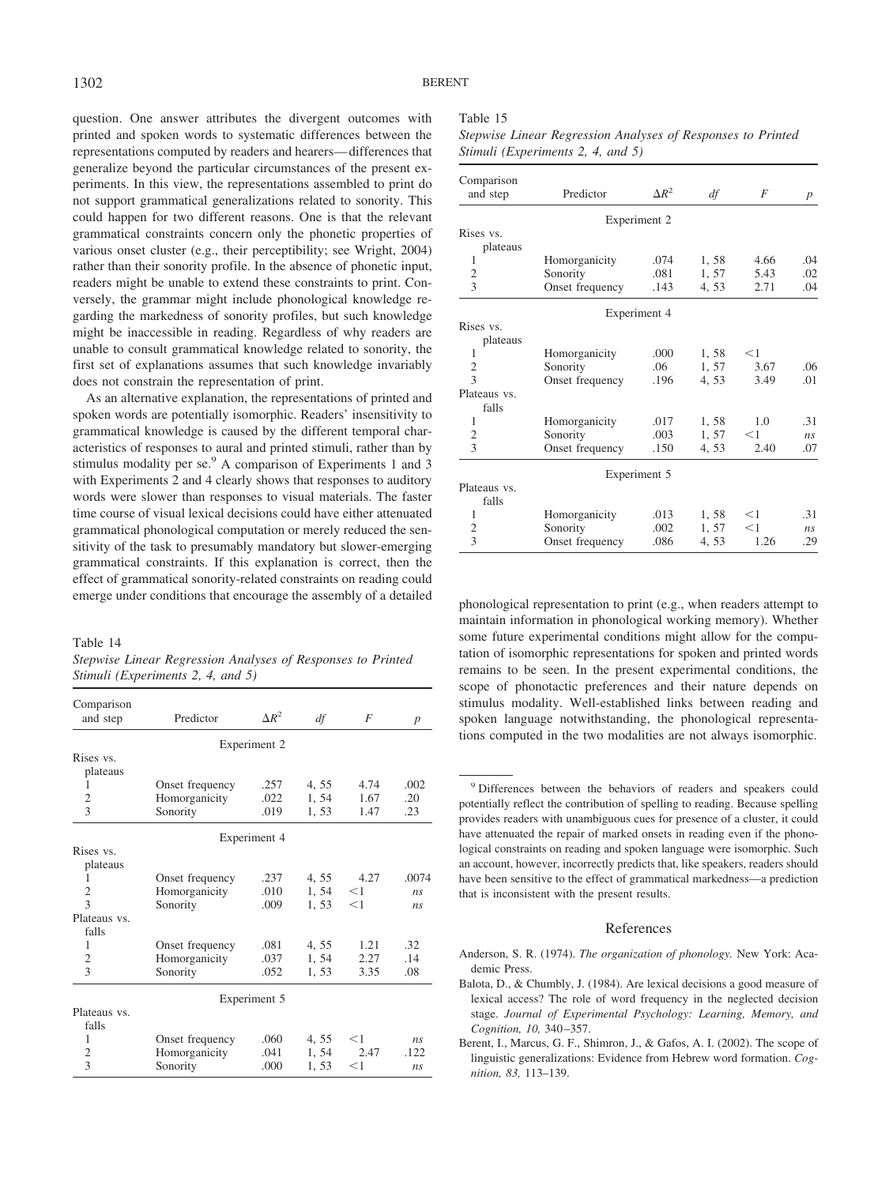question. One answer attributes the divergent outcomes with printed and spoken words to systematic differences between the representations computed by readers and hearers— differences that generalize beyond the particular circumstances of the present experiments. In this view, the representations assembled to print do not support grammatical generalizations related to sonority. This could happen for two different reasons. One is that the relevant grammatical constraints concern only the phonetic properties of various onset cluster (e.g., their perceptibility; see Wright, 2004) rather than their sonority profile. In the absence of phonetic input, readers might be unable to extend these constraints to print. Conversely, the grammar might include phonological knowledge regarding the markedness of sonority profiles, but such knowledge might be inaccessible in reading. Regardless of why readers are unable to consult grammatical knowledge related to sonority, the first set of explanations assumes that such knowledge invariably does not constrain the representation of print.

As an alternative explanation, the representations of printed and spoken words are potentially isomorphic. Readers' insensitivity to grammatical knowledge is caused by the different temporal characteristics of responses to aural and printed stimuli, rather than by stimulus modality per se.<sup>9</sup> A comparison of Experiments 1 and 3 with Experiments 2 and 4 clearly shows that responses to auditory words were slower than responses to visual materials. The faster time course of visual lexical decisions could have either attenuated grammatical phonological computation or merely reduced the sensitivity of the task to presumably mandatory but slower-emerging grammatical constraints. If this explanation is correct, then the effect of grammatical sonority-related constraints on reading could emerge under conditions that encourage the assembly of a detailed phonological representation to print (e.g., when readers attempt to

#### Table 14

*Stepwise Linear Regression Analyses of Responses to Printed Stimuli (Experiments 2, 4, and 5)*

| Predictor     | $\Delta R^2$                                                                                                                | df                                           | F              | $\boldsymbol{p}$ |
|---------------|-----------------------------------------------------------------------------------------------------------------------------|----------------------------------------------|----------------|------------------|
|               |                                                                                                                             |                                              |                |                  |
|               |                                                                                                                             |                                              |                |                  |
|               |                                                                                                                             |                                              |                |                  |
|               | .257                                                                                                                        | 4, 55                                        | 4.74           | .002             |
|               | .022                                                                                                                        | 1, 54                                        | 1.67           | .20              |
| Sonority      | .019                                                                                                                        | 1,53                                         | 1.47           | .23              |
|               |                                                                                                                             |                                              |                |                  |
|               |                                                                                                                             |                                              |                |                  |
|               |                                                                                                                             |                                              |                |                  |
|               | .237                                                                                                                        |                                              | 4.27           | .0074            |
|               | .010                                                                                                                        | 1.54                                         | $<$ 1          | n <sub>s</sub>   |
| Sonority      | .009                                                                                                                        | 1, 53                                        | $<$ 1          | n <sub>s</sub>   |
|               |                                                                                                                             |                                              |                |                  |
|               |                                                                                                                             |                                              |                |                  |
|               | .081                                                                                                                        | 4, 55                                        | 1.21           | .32              |
| Homorganicity | .037                                                                                                                        | 1, 54                                        | 2.27           | .14              |
| Sonority      | .052                                                                                                                        | 1,53                                         | 3.35           | .08              |
|               |                                                                                                                             |                                              |                |                  |
|               |                                                                                                                             |                                              |                |                  |
|               |                                                                                                                             |                                              |                |                  |
|               | .060                                                                                                                        |                                              | $<$ 1          | ns               |
|               | .041                                                                                                                        | 1, 54                                        | 2.47           | .122             |
| Sonority      | .000                                                                                                                        | 1, 53                                        | $<$ 1          | ns               |
|               | Onset frequency<br>Homorganicity<br>Onset frequency<br>Homorganicity<br>Onset frequency<br>Onset frequency<br>Homorganicity | Experiment 2<br>Experiment 4<br>Experiment 5 | 4, 55<br>4, 55 |                  |

#### Table 15

*Stepwise Linear Regression Analyses of Responses to Printed Stimuli (Experiments 2, 4, and 5)*

| Comparison               |                 |              |       |       |                  |
|--------------------------|-----------------|--------------|-------|-------|------------------|
| and step                 | Predictor       | $\Delta R^2$ | df    | F     | $\boldsymbol{p}$ |
|                          |                 | Experiment 2 |       |       |                  |
| Rises vs.                |                 |              |       |       |                  |
| plateaus                 |                 |              |       |       |                  |
| 1                        | Homorganicity   | .074         | 1,58  | 4.66  | .04              |
| $\overline{c}$           | Sonority        | .081         | 1.57  | 5.43  | .02              |
| 3                        | Onset frequency | .143         | 4, 53 | 2.71  | .04              |
|                          |                 | Experiment 4 |       |       |                  |
| Rises vs.                |                 |              |       |       |                  |
| plateaus                 |                 |              |       |       |                  |
| 1                        | Homorganicity   | .000         | 1,58  | $<$ 1 |                  |
| $\mathfrak{2}$           | Sonority        | .06          | 1, 57 | 3.67  | .06              |
| 3                        | Onset frequency | .196         | 4.53  | 3.49  | .01              |
| Plateaus vs.             |                 |              |       |       |                  |
| falls                    |                 |              |       |       |                  |
| 1                        | Homorganicity   | .017         | 1,58  | 1.0   | .31              |
| $\mathfrak{2}$           | Sonority        | .003         | 1, 57 | $<$ 1 | ns               |
| $\mathcal{E}$            | Onset frequency | .150         | 4, 53 | 2.40  | .07              |
|                          |                 | Experiment 5 |       |       |                  |
| Plateaus vs.             |                 |              |       |       |                  |
| falls                    |                 |              |       |       |                  |
| 1                        | Homorganicity   | .013         | 1,58  | $<$ 1 | .31              |
| 2                        | Sonority        | .002         | 1, 57 | $<$ 1 | $n_{\rm S}$      |
| $\overline{\mathcal{E}}$ | Onset frequency | .086         | 4, 53 | 1.26  | .29              |

maintain information in phonological working memory). Whether some future experimental conditions might allow for the computation of isomorphic representations for spoken and printed words remains to be seen. In the present experimental conditions, the scope of phonotactic preferences and their nature depends on stimulus modality. Well-established links between reading and spoken language notwithstanding, the phonological representations computed in the two modalities are not always isomorphic.

## References

- Anderson, S. R. (1974). *The organization of phonology.* New York: Academic Press.
- Balota, D., & Chumbly, J. (1984). Are lexical decisions a good measure of lexical access? The role of word frequency in the neglected decision stage. *Journal of Experimental Psychology: Learning, Memory, and Cognition, 10,* 340 –357.
- Berent, I., Marcus, G. F., Shimron, J., & Gafos, A. I. (2002). The scope of linguistic generalizations: Evidence from Hebrew word formation. *Cognition, 83,* 113–139.

<sup>9</sup> Differences between the behaviors of readers and speakers could potentially reflect the contribution of spelling to reading. Because spelling provides readers with unambiguous cues for presence of a cluster, it could have attenuated the repair of marked onsets in reading even if the phonological constraints on reading and spoken language were isomorphic. Such an account, however, incorrectly predicts that, like speakers, readers should have been sensitive to the effect of grammatical markedness—a prediction that is inconsistent with the present results.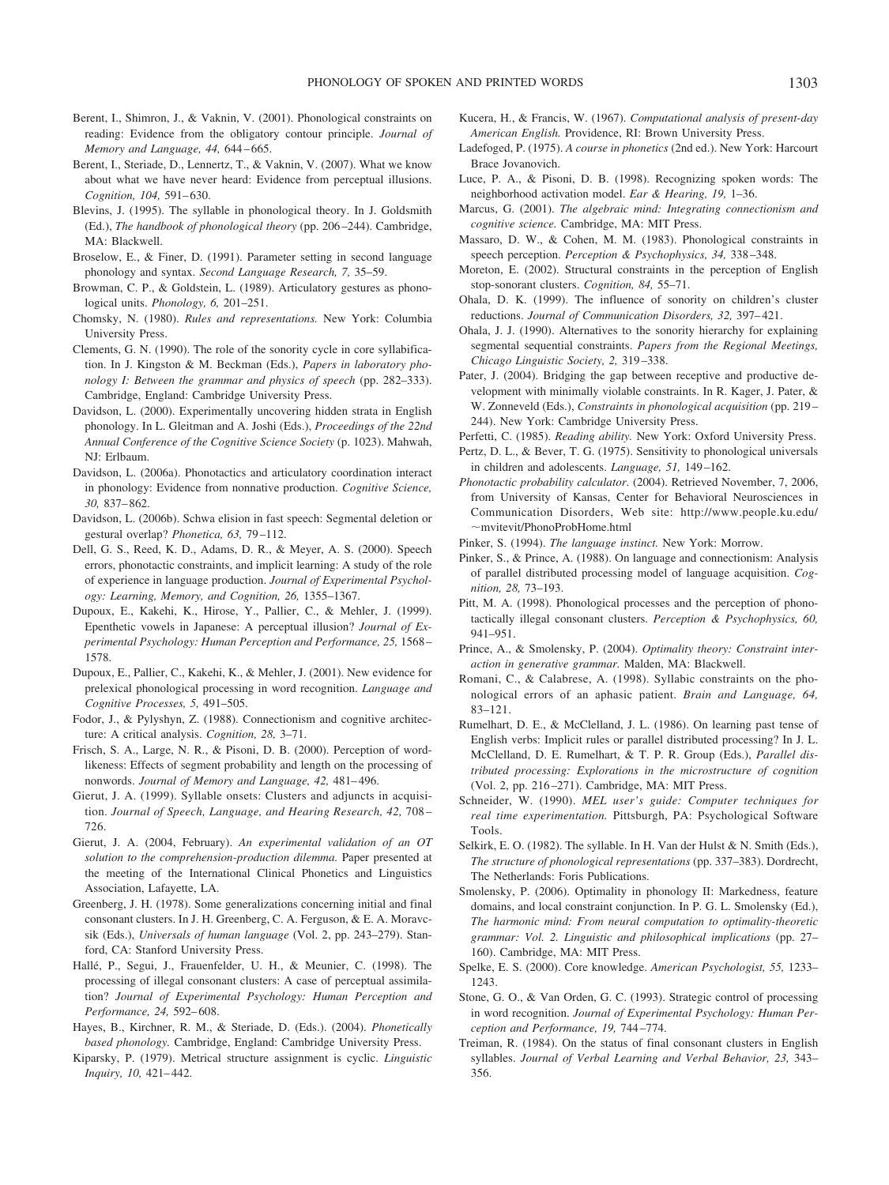- Berent, I., Shimron, J., & Vaknin, V. (2001). Phonological constraints on reading: Evidence from the obligatory contour principle. *Journal of Memory and Language, 44,* 644 – 665.
- Berent, I., Steriade, D., Lennertz, T., & Vaknin, V. (2007). What we know about what we have never heard: Evidence from perceptual illusions. *Cognition, 104,* 591– 630.
- Blevins, J. (1995). The syllable in phonological theory. In J. Goldsmith (Ed.), *The handbook of phonological theory* (pp. 206 –244). Cambridge, MA: Blackwell.
- Broselow, E., & Finer, D. (1991). Parameter setting in second language phonology and syntax. *Second Language Research, 7,* 35–59.
- Browman, C. P., & Goldstein, L. (1989). Articulatory gestures as phonological units. *Phonology, 6,* 201–251.
- Chomsky, N. (1980). *Rules and representations.* New York: Columbia University Press.
- Clements, G. N. (1990). The role of the sonority cycle in core syllabification. In J. Kingston & M. Beckman (Eds.), *Papers in laboratory phonology I: Between the grammar and physics of speech* (pp. 282–333). Cambridge, England: Cambridge University Press.
- Davidson, L. (2000). Experimentally uncovering hidden strata in English phonology. In L. Gleitman and A. Joshi (Eds.), *Proceedings of the 22nd Annual Conference of the Cognitive Science Society* (p. 1023). Mahwah, NJ: Erlbaum.
- Davidson, L. (2006a). Phonotactics and articulatory coordination interact in phonology: Evidence from nonnative production. *Cognitive Science, 30,* 837– 862.
- Davidson, L. (2006b). Schwa elision in fast speech: Segmental deletion or gestural overlap? *Phonetica, 63,* 79 –112.
- Dell, G. S., Reed, K. D., Adams, D. R., & Meyer, A. S. (2000). Speech errors, phonotactic constraints, and implicit learning: A study of the role of experience in language production. *Journal of Experimental Psychology: Learning, Memory, and Cognition, 26,* 1355–1367.
- Dupoux, E., Kakehi, K., Hirose, Y., Pallier, C., & Mehler, J. (1999). Epenthetic vowels in Japanese: A perceptual illusion? *Journal of Experimental Psychology: Human Perception and Performance, 25,* 1568 – 1578.
- Dupoux, E., Pallier, C., Kakehi, K., & Mehler, J. (2001). New evidence for prelexical phonological processing in word recognition. *Language and Cognitive Processes, 5,* 491–505.
- Fodor, J., & Pylyshyn, Z. (1988). Connectionism and cognitive architecture: A critical analysis. *Cognition, 28,* 3–71.
- Frisch, S. A., Large, N. R., & Pisoni, D. B. (2000). Perception of wordlikeness: Effects of segment probability and length on the processing of nonwords. *Journal of Memory and Language*, 42, 481-496.
- Gierut, J. A. (1999). Syllable onsets: Clusters and adjuncts in acquisition. *Journal of Speech, Language, and Hearing Research, 42,* 708 – 726.
- Gierut, J. A. (2004, February). *An experimental validation of an OT solution to the comprehension-production dilemma.* Paper presented at the meeting of the International Clinical Phonetics and Linguistics Association, Lafayette, LA.
- Greenberg, J. H. (1978). Some generalizations concerning initial and final consonant clusters. In J. H. Greenberg, C. A. Ferguson, & E. A. Moravcsik (Eds.), *Universals of human language* (Vol. 2, pp. 243–279). Stanford, CA: Stanford University Press.
- Hallé, P., Segui, J., Frauenfelder, U. H., & Meunier, C. (1998). The processing of illegal consonant clusters: A case of perceptual assimilation? *Journal of Experimental Psychology: Human Perception and Performance, 24,* 592– 608.
- Hayes, B., Kirchner, R. M., & Steriade, D. (Eds.). (2004). *Phonetically based phonology.* Cambridge, England: Cambridge University Press.
- Kiparsky, P. (1979). Metrical structure assignment is cyclic. *Linguistic Inquiry, 10,* 421– 442.
- Kucera, H., & Francis, W. (1967). *Computational analysis of present-day American English.* Providence, RI: Brown University Press.
- Ladefoged, P. (1975). *A course in phonetics* (2nd ed.). New York: Harcourt Brace Jovanovich.
- Luce, P. A., & Pisoni, D. B. (1998). Recognizing spoken words: The neighborhood activation model. *Ear & Hearing, 19,* 1–36.
- Marcus, G. (2001). *The algebraic mind: Integrating connectionism and cognitive science.* Cambridge, MA: MIT Press.
- Massaro, D. W., & Cohen, M. M. (1983). Phonological constraints in speech perception. *Perception & Psychophysics, 34,* 338 –348.
- Moreton, E. (2002). Structural constraints in the perception of English stop-sonorant clusters. *Cognition, 84,* 55–71.
- Ohala, D. K. (1999). The influence of sonority on children's cluster reductions. *Journal of Communication Disorders, 32,* 397– 421.
- Ohala, J. J. (1990). Alternatives to the sonority hierarchy for explaining segmental sequential constraints. *Papers from the Regional Meetings, Chicago Linguistic Society, 2,* 319 –338.
- Pater, J. (2004). Bridging the gap between receptive and productive development with minimally violable constraints. In R. Kager, J. Pater, & W. Zonneveld (Eds.), *Constraints in phonological acquisition* (pp. 219 – 244). New York: Cambridge University Press.
- Perfetti, C. (1985). *Reading ability.* New York: Oxford University Press.
- Pertz, D. L., & Bever, T. G. (1975). Sensitivity to phonological universals in children and adolescents. *Language, 51,* 149 –162.
- *Phonotactic probability calculator*. (2004). Retrieved November, 7, 2006, from University of Kansas, Center for Behavioral Neurosciences in Communication Disorders, Web site: http://www.people.ku.edu/  $\sim$ mvitevit/PhonoProbHome.html
- Pinker, S. (1994). *The language instinct.* New York: Morrow.
- Pinker, S., & Prince, A. (1988). On language and connectionism: Analysis of parallel distributed processing model of language acquisition. *Cognition, 28,* 73–193.
- Pitt, M. A. (1998). Phonological processes and the perception of phonotactically illegal consonant clusters. *Perception & Psychophysics, 60,* 941–951.
- Prince, A., & Smolensky, P. (2004). *Optimality theory: Constraint interaction in generative grammar.* Malden, MA: Blackwell.
- Romani, C., & Calabrese, A. (1998). Syllabic constraints on the phonological errors of an aphasic patient. *Brain and Language, 64,* 83–121.
- Rumelhart, D. E., & McClelland, J. L. (1986). On learning past tense of English verbs: Implicit rules or parallel distributed processing? In J. L. McClelland, D. E. Rumelhart, & T. P. R. Group (Eds.), *Parallel distributed processing: Explorations in the microstructure of cognition* (Vol. 2, pp. 216 –271). Cambridge, MA: MIT Press.
- Schneider, W. (1990). *MEL user's guide: Computer techniques for real time experimentation.* Pittsburgh, PA: Psychological Software Tools.
- Selkirk, E. O. (1982). The syllable. In H. Van der Hulst & N. Smith (Eds.), *The structure of phonological representations* (pp. 337–383). Dordrecht, The Netherlands: Foris Publications.
- Smolensky, P. (2006). Optimality in phonology II: Markedness, feature domains, and local constraint conjunction. In P. G. L. Smolensky (Ed.), *The harmonic mind: From neural computation to optimality-theoretic grammar: Vol. 2. Linguistic and philosophical implications* (pp. 27– 160). Cambridge, MA: MIT Press.
- Spelke, E. S. (2000). Core knowledge. *American Psychologist, 55,* 1233– 1243.
- Stone, G. O., & Van Orden, G. C. (1993). Strategic control of processing in word recognition. *Journal of Experimental Psychology: Human Perception and Performance, 19,* 744 –774.
- Treiman, R. (1984). On the status of final consonant clusters in English syllables. *Journal of Verbal Learning and Verbal Behavior, 23,* 343– 356.